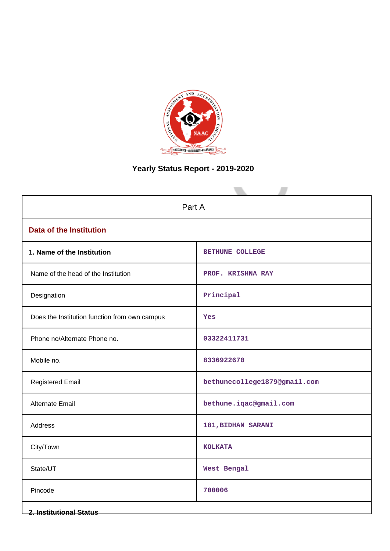

# **Yearly Status Report - 2019-2020**

| Part A                                        |                              |  |
|-----------------------------------------------|------------------------------|--|
| <b>Data of the Institution</b>                |                              |  |
| 1. Name of the Institution                    | <b>BETHUNE COLLEGE</b>       |  |
| Name of the head of the Institution           | PROF. KRISHNA RAY            |  |
| Designation                                   | Principal                    |  |
| Does the Institution function from own campus | Yes                          |  |
| Phone no/Alternate Phone no.                  | 03322411731                  |  |
| Mobile no.                                    | 8336922670                   |  |
| <b>Registered Email</b>                       | bethunecollege1879@gmail.com |  |
| Alternate Email                               | bethune.iqac@gmail.com       |  |
| Address                                       | 181, BIDHAN SARANI           |  |
| City/Town                                     | <b>KOLKATA</b>               |  |
| State/UT                                      | West Bengal                  |  |
| Pincode                                       | 700006                       |  |
| <b>2. Institutional Status</b>                |                              |  |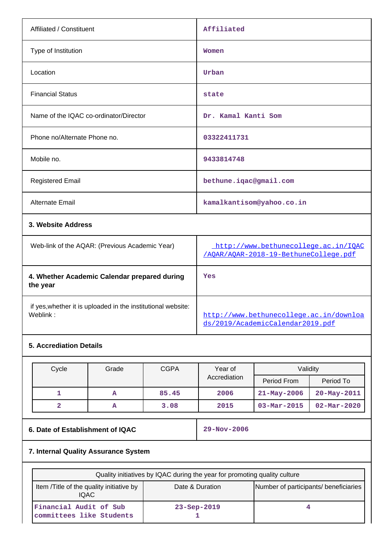| Affiliated / Constituent               | Affiliated                |
|----------------------------------------|---------------------------|
| Type of Institution                    | Women                     |
| Location                               | Urban                     |
| <b>Financial Status</b>                | state                     |
| Name of the IQAC co-ordinator/Director | Dr. Kamal Kanti Som       |
| Phone no/Alternate Phone no.           | 03322411731               |
| Mobile no.                             | 9433814748                |
| <b>Registered Email</b>                | bethune.iqac@gmail.com    |
| Alternate Email                        | kamalkantisom@yahoo.co.in |
| 3. Website Address                     |                           |

| Web-link of the AQAR: (Previous Academic Year)                           | http://www.bethunecollege.ac.in/IOAC<br>/AOAR/AOAR-2018-19-BethuneCollege.pdf |
|--------------------------------------------------------------------------|-------------------------------------------------------------------------------|
| 4. Whether Academic Calendar prepared during<br>the year                 | Yes                                                                           |
| if yes, whether it is uploaded in the institutional website:<br>Weblink: | http://www.bethunecollege.ac.in/downloa<br>ds/2019/AcademicCalendar2019.pdf   |

# **5. Accrediation Details**

| Cycle | Grade | <b>CGPA</b> | Year of      | Validity                 |                          |  |
|-------|-------|-------------|--------------|--------------------------|--------------------------|--|
|       |       |             | Accrediation | Period From              | Period To                |  |
|       | А     | 85.45       | 2006         | $21 - May - 2006$        | $20 - May - 2011$        |  |
|       | А     | 3.08        | 2015         | $03 - \text{Mar} - 2015$ | $02 - \text{Mar} - 2020$ |  |

# **6. Date of Establishment of IQAC** 29-Nov-2006

# **7. Internal Quality Assurance System**

| Quality initiatives by IQAC during the year for promoting quality culture                                     |                   |  |
|---------------------------------------------------------------------------------------------------------------|-------------------|--|
| Number of participants/ beneficiaries<br>Item /Title of the quality initiative by<br>Date & Duration<br>IQAC. |                   |  |
| Financial Audit of Sub<br>committees like Students                                                            | $23 - Sep - 2019$ |  |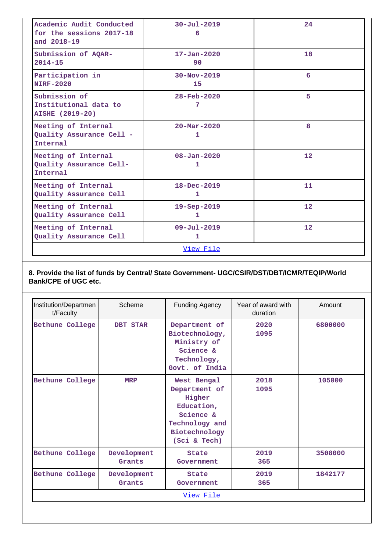| Academic Audit Conducted<br>for the sessions 2017-18<br>and 2018-19 | $30 - Ju1 - 2019$<br>6         | 24 |
|---------------------------------------------------------------------|--------------------------------|----|
| Submission of AQAR-<br>$2014 - 15$                                  | $17 - Jan - 2020$<br>90        | 18 |
| Participation in<br><b>NIRF-2020</b>                                | $30 - Nov - 2019$<br>15        | 6  |
| Submission of<br>Institutional data to<br><b>AISHE (2019-20)</b>    | $28 - \text{Feb} - 2020$<br>7  | 5  |
| Meeting of Internal<br>Quality Assurance Cell -<br>Internal         | $20 - \text{Mar} - 2020$<br>1. | 8  |
| Meeting of Internal<br>Quality Assurance Cell-<br>Internal          | $08 - Jan - 2020$<br>1         | 12 |
| Meeting of Internal<br>Quality Assurance Cell                       | $18 - Dec - 2019$<br>1         | 11 |
| Meeting of Internal<br>Quality Assurance Cell                       | 19-Sep-2019<br>1               | 12 |
| Meeting of Internal<br>Quality Assurance Cell                       | $09 - \text{Jul} - 2019$<br>1  | 12 |
| View File                                                           |                                |    |

## **8. Provide the list of funds by Central/ State Government- UGC/CSIR/DST/DBT/ICMR/TEQIP/World Bank/CPE of UGC etc.**

| Institution/Departmen<br>t/Faculty | Scheme                | Funding Agency                                                                                                       | Year of award with<br>duration | Amount  |
|------------------------------------|-----------------------|----------------------------------------------------------------------------------------------------------------------|--------------------------------|---------|
| <b>Bethune College</b>             | DBT STAR              | Department of<br>Biotechnology,<br>Ministry of<br>Science &<br>Technology,<br>Govt. of India                         | 2020<br>1095                   | 6800000 |
| Bethune College                    | <b>MRP</b>            | West Bengal<br>Department of<br>Higher<br>Education,<br>Science &<br>Technology and<br>Biotechnology<br>(Sci & Tech) | 2018<br>1095                   | 105000  |
| Bethune College                    | Development<br>Grants | <b>State</b><br>Government                                                                                           | 2019<br>365                    | 3508000 |
| Bethune College                    | Development<br>Grants | State<br>Government                                                                                                  | 2019<br>365                    | 1842177 |
| View File                          |                       |                                                                                                                      |                                |         |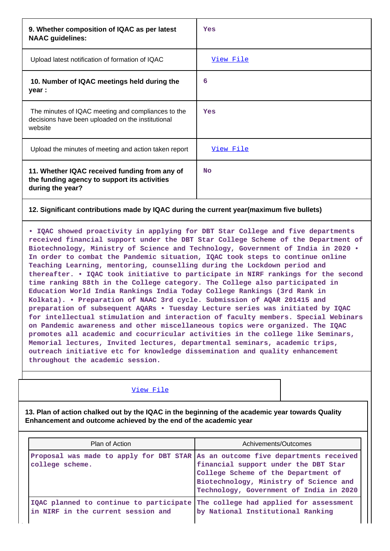| 9. Whether composition of IQAC as per latest<br><b>NAAC</b> guidelines:                                            | Yes              |
|--------------------------------------------------------------------------------------------------------------------|------------------|
| Upload latest notification of formation of IQAC                                                                    | <u>View File</u> |
| 10. Number of IQAC meetings held during the<br>year :                                                              | 6                |
| The minutes of IQAC meeting and compliances to the<br>decisions have been uploaded on the institutional<br>website | Yes              |
| Upload the minutes of meeting and action taken report                                                              | <u>View File</u> |
| 11. Whether IQAC received funding from any of<br>the funding agency to support its activities<br>during the year?  | <b>No</b>        |

### **12. Significant contributions made by IQAC during the current year(maximum five bullets)**

**• IQAC showed proactivity in applying for DBT Star College and five departments received financial support under the DBT Star College Scheme of the Department of Biotechnology, Ministry of Science and Technology, Government of India in 2020 • In order to combat the Pandemic situation, IQAC took steps to continue online Teaching Learning, mentoring, counselling during the Lockdown period and thereafter. • IQAC took initiative to participate in NIRF rankings for the second time ranking 88th in the College category. The College also participated in Education World India Rankings India Today College Rankings (3rd Rank in Kolkata). • Preparation of NAAC 3rd cycle. Submission of AQAR 201415 and preparation of subsequent AQARs • Tuesday Lecture series was initiated by IQAC for intellectual stimulation and interaction of faculty members. Special Webinars on Pandemic awareness and other miscellaneous topics were organized. The IQAC promotes all academic and cocurricular activities in the college like Seminars, Memorial lectures, Invited lectures, departmental seminars, academic trips, outreach initiative etc for knowledge dissemination and quality enhancement throughout the academic session.**

#### [View File](https://assessmentonline.naac.gov.in/public/Postacc/Contribution/10676_Contribution.xlsx)

**13. Plan of action chalked out by the IQAC in the beginning of the academic year towards Quality Enhancement and outcome achieved by the end of the academic year**

| Plan of Action                                                                                     | Achivements/Outcomes                                                                                                                                             |
|----------------------------------------------------------------------------------------------------|------------------------------------------------------------------------------------------------------------------------------------------------------------------|
| Proposal was made to apply for DBT STAR As an outcome five departments received<br>college scheme. | financial support under the DBT Star<br>College Scheme of the Department of<br>Biotechnology, Ministry of Science and<br>Technology, Government of India in 2020 |
| IQAC planned to continue to participate<br>in NIRF in the current session and                      | The college had applied for assessment<br>by National Institutional Ranking                                                                                      |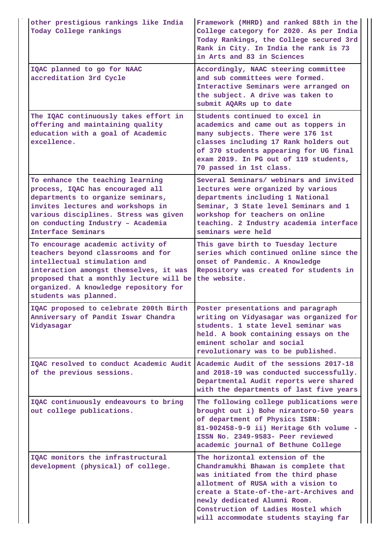| other prestigious rankings like India<br>Today College rankings                                                                                                                                                                                                | Framework (MHRD) and ranked 88th in the<br>College category for 2020. As per India<br>Today Rankings, the College secured 3rd<br>Rank in City. In India the rank is 73<br>in Arts and 83 in Sciences                                                                                                          |
|----------------------------------------------------------------------------------------------------------------------------------------------------------------------------------------------------------------------------------------------------------------|---------------------------------------------------------------------------------------------------------------------------------------------------------------------------------------------------------------------------------------------------------------------------------------------------------------|
| IQAC planned to go for NAAC<br>accreditation 3rd Cycle                                                                                                                                                                                                         | Accordingly, NAAC steering committee<br>and sub committees were formed.<br>Interactive Seminars were arranged on<br>the subject. A drive was taken to<br>submit AQARs up to date                                                                                                                              |
| The IQAC continuously takes effort in<br>offering and maintaining quality<br>education with a goal of Academic<br>excellence.                                                                                                                                  | Students continued to excel in<br>academics and came out as toppers in<br>many subjects. There were 176 1st<br>classes including 17 Rank holders out<br>of 370 students appearing for UG final<br>exam 2019. In PG out of 119 students,<br>70 passed in 1st class.                                            |
| To enhance the teaching learning<br>process, IQAC has encouraged all<br>departments to organize seminars,<br>invites lectures and workshops in<br>various disciplines. Stress was given<br>on conducting Industry - Academia<br>Interface Seminars             | Several Seminars/ webinars and invited<br>lectures were organized by various<br>departments including 1 National<br>Seminar, 3 State level Seminars and 1<br>workshop for teachers on online<br>teaching. 2 Industry academia interface<br>seminars were held                                                 |
| To encourage academic activity of<br>teachers beyond classrooms and for<br>intellectual stimulation and<br>interaction amongst themselves, it was<br>proposed that a monthly lecture will be<br>organized. A knowledge repository for<br>students was planned. | This gave birth to Tuesday lecture<br>series which continued online since the<br>onset of Pandemic. A Knowledge<br>Repository was created for students in<br>the website.                                                                                                                                     |
| IQAC proposed to celebrate 200th Birth<br>Anniversary of Pandit Iswar Chandra<br>Vidyasagar                                                                                                                                                                    | Poster presentations and paragraph<br>writing on Vidyasagar was organized for<br>students. 1 state level seminar was<br>held. A book containing essays on the<br>eminent scholar and social<br>revolutionary was to be published.                                                                             |
| IQAC resolved to conduct Academic Audit Academic Audit of the sessions 2017-18<br>of the previous sessions.                                                                                                                                                    | and 2018-19 was conducted successfully.<br>Departmental Audit reports were shared<br>with the departments of last five years                                                                                                                                                                                  |
| IQAC continuously endeavours to bring<br>out college publications.                                                                                                                                                                                             | The following college publications were<br>brought out i) Bohe nirantoro-50 years<br>of department of Physics ISBN:<br>81-902458-9-9 ii) Heritage 6th volume -<br>ISSN No. 2349-9583- Peer reviewed<br>academic journal of Bethune College                                                                    |
| IQAC monitors the infrastructural<br>development (physical) of college.                                                                                                                                                                                        | The horizontal extension of the<br>Chandramukhi Bhawan is complete that<br>was initiated from the third phase<br>allotment of RUSA with a vision to<br>create a State-of-the-art-Archives and<br>newly dedicated Alumni Room.<br>Construction of Ladies Hostel which<br>will accommodate students staying far |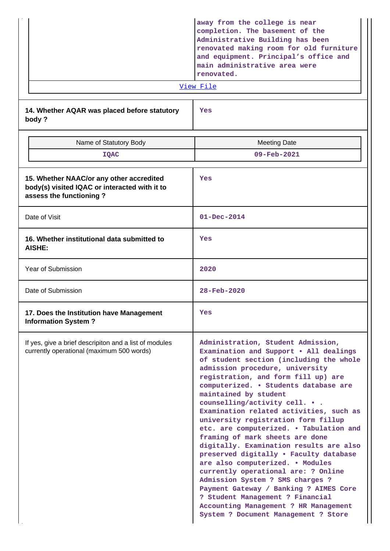|                                                                                                                      | away from the college is near<br>completion. The basement of the<br>Administrative Building has been<br>renovated making room for old furniture<br>and equipment. Principal's office and<br>main administrative area were<br>renovated.<br>View File                                                                                                                                                                                                                                                                                                                                                                                                                                                                                                                                                                                 |
|----------------------------------------------------------------------------------------------------------------------|--------------------------------------------------------------------------------------------------------------------------------------------------------------------------------------------------------------------------------------------------------------------------------------------------------------------------------------------------------------------------------------------------------------------------------------------------------------------------------------------------------------------------------------------------------------------------------------------------------------------------------------------------------------------------------------------------------------------------------------------------------------------------------------------------------------------------------------|
| 14. Whether AQAR was placed before statutory<br>body?                                                                | Yes                                                                                                                                                                                                                                                                                                                                                                                                                                                                                                                                                                                                                                                                                                                                                                                                                                  |
| Name of Statutory Body                                                                                               | <b>Meeting Date</b>                                                                                                                                                                                                                                                                                                                                                                                                                                                                                                                                                                                                                                                                                                                                                                                                                  |
| <b>IQAC</b>                                                                                                          | 09-Feb-2021                                                                                                                                                                                                                                                                                                                                                                                                                                                                                                                                                                                                                                                                                                                                                                                                                          |
| 15. Whether NAAC/or any other accredited<br>body(s) visited IQAC or interacted with it to<br>assess the functioning? | Yes                                                                                                                                                                                                                                                                                                                                                                                                                                                                                                                                                                                                                                                                                                                                                                                                                                  |
| Date of Visit                                                                                                        | $01 - Dec - 2014$                                                                                                                                                                                                                                                                                                                                                                                                                                                                                                                                                                                                                                                                                                                                                                                                                    |
| 16. Whether institutional data submitted to<br>AISHE:                                                                | Yes                                                                                                                                                                                                                                                                                                                                                                                                                                                                                                                                                                                                                                                                                                                                                                                                                                  |
| Year of Submission                                                                                                   | 2020                                                                                                                                                                                                                                                                                                                                                                                                                                                                                                                                                                                                                                                                                                                                                                                                                                 |
| Date of Submission                                                                                                   | 28-Feb-2020                                                                                                                                                                                                                                                                                                                                                                                                                                                                                                                                                                                                                                                                                                                                                                                                                          |
| 17. Does the Institution have Management<br><b>Information System?</b>                                               | Yes                                                                                                                                                                                                                                                                                                                                                                                                                                                                                                                                                                                                                                                                                                                                                                                                                                  |
| If yes, give a brief descripiton and a list of modules<br>currently operational (maximum 500 words)                  | Administration, Student Admission,<br>Examination and Support . All dealings<br>of student section (including the whole<br>admission procedure, university<br>registration, and form fill up) are<br>computerized. . Students database are<br>maintained by student<br>counselling/activity cell.<br>Examination related activities, such as<br>university registration form fillup<br>etc. are computerized. . Tabulation and<br>framing of mark sheets are done<br>digitally. Examination results are also<br>preserved digitally . Faculty database<br>are also computerized. . Modules<br>currently operational are: ? Online<br>Admission System ? SMS charges ?<br>Payment Gateway / Banking ? AIMES Core<br>? Student Management ? Financial<br>Accounting Management ? HR Management<br>System ? Document Management ? Store |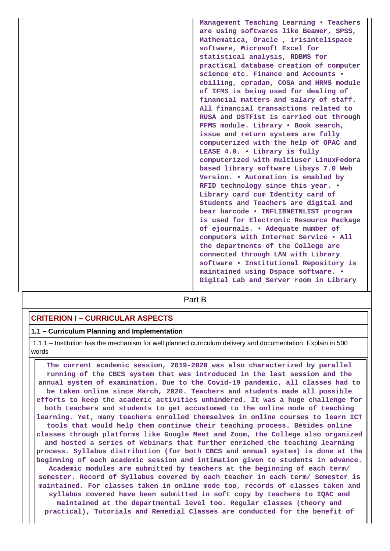**Management Teaching Learning • Teachers are using softwares like Beamer, SPSS, Mathematica, Oracle , irisintelispace software, Microsoft Excel for statistical analysis, RDBMS for practical database creation of computer science etc. Finance and Accounts • ebilling, epradan, COSA and HRMS module of IFMS is being used for dealing of financial matters and salary of staff. All financial transactions related to RUSA and DSTFist is carried out through PFMS module. Library • Book search, issue and return systems are fully computerized with the help of OPAC and LEASE 4.0. • Library is fully computerized with multiuser LinuxFedora based library software Libsys 7.0 Web Version. • Automation is enabled by RFID technology since this year. • Library card cum Identity card of Students and Teachers are digital and bear barcode • INFLIBNETNLIST program is used for Electronic Resource Package of ejournals. • Adequate number of computers with Internet Service • All the departments of the College are connected through LAN with Library software • Institutional Repository is maintained using Dspace software. • Digital Lab and Server room in Library**

# **Part B**

### **CRITERION I – CURRICULAR ASPECTS**

#### **1.1 – Curriculum Planning and Implementation**

 1.1.1 – Institution has the mechanism for well planned curriculum delivery and documentation. Explain in 500 words

 **The current academic session, 2019-2020 was also characterized by parallel running of the CBCS system that was introduced in the last session and the annual system of examination. Due to the Covid-19 pandemic, all classes had to be taken online since March, 2020. Teachers and students made all possible efforts to keep the academic activities unhindered. It was a huge challenge for both teachers and students to get accustomed to the online mode of teaching learning. Yet, many teachers enrolled themselves in online courses to learn ICT tools that would help them continue their teaching process. Besides online classes through platforms like Google Meet and Zoom, the College also organized and hosted a series of Webinars that further enriched the teaching learning process. Syllabus distribution (for both CBCS and annual system) is done at the beginning of each academic session and intimation given to students in advance. Academic modules are submitted by teachers at the beginning of each term/ semester. Record of Syllabus covered by each teacher in each term/ Semester is maintained. For classes taken in online mode too, records of classes taken and syllabus covered have been submitted in soft copy by teachers to IQAC and maintained at the departmental level too. Regular classes (theory and practical), Tutorials and Remedial Classes are conducted for the benefit of**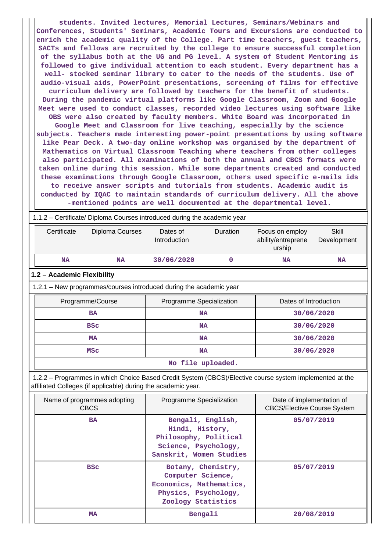**students. Invited lectures, Memorial Lectures, Seminars/Webinars and Conferences, Students' Seminars, Academic Tours and Excursions are conducted to enrich the academic quality of the College. Part time teachers, guest teachers, SACTs and fellows are recruited by the college to ensure successful completion of the syllabus both at the UG and PG level. A system of Student Mentoring is followed to give individual attention to each student. Every department has a well- stocked seminar library to cater to the needs of the students. Use of audio-visual aids, PowerPoint presentations, screening of films for effective curriculum delivery are followed by teachers for the benefit of students. During the pandemic virtual platforms like Google Classroom, Zoom and Google Meet were used to conduct classes, recorded video lectures using software like OBS were also created by faculty members. White Board was incorporated in Google Meet and Classroom for live teaching, especially by the science subjects. Teachers made interesting power-point presentations by using software like Pear Deck. A two-day online workshop was organised by the department of Mathematics on Virtual Classroom Teaching where teachers from other colleges also participated. All examinations of both the annual and CBCS formats were taken online during this session. While some departments created and conducted these examinations through Google Classroom, others used specific e-mails ids to receive answer scripts and tutorials from students. Academic audit is conducted by IQAC to maintain standards of curriculum delivery. All the above -mentioned points are well documented at the departmental level.**

 1.1.2 – Certificate/ Diploma Courses introduced during the academic year Certificate Diploma Courses Dates of Introduction Duration Focus on employ ability/entreprene urship Skill Development  **NA NA 30/06/2020 0 NA NA 1.2 – Academic Flexibility** 1.2.1 – New programmes/courses introduced during the academic year Programme/Course **Programme Specialization Programme** Specialization **Programme** Dates of Introduction **BA BA NA I BA 30/06/2020 BSc** NA 30/06/2020 **MA**  $\begin{array}{|c|c|c|c|c|}\n\hline\n\text{MA} & \text{MA} & \text{30/06/2020}\n\hline\n\end{array}$ **MSc NA NA** 30/06/2020 **No file uploaded.**

 1.2.2 – Programmes in which Choice Based Credit System (CBCS)/Elective course system implemented at the affiliated Colleges (if applicable) during the academic year.

| Name of programmes adopting<br><b>CBCS</b> | Programme Specialization                                                                                         | Date of implementation of<br><b>CBCS/Elective Course System</b> |
|--------------------------------------------|------------------------------------------------------------------------------------------------------------------|-----------------------------------------------------------------|
| <b>BA</b>                                  | Bengali, English,<br>Hindi, History,<br>Philosophy, Political<br>Science, Psychology,<br>Sanskrit, Women Studies | 05/07/2019                                                      |
| <b>BSC</b>                                 | Botany, Chemistry,<br>Computer Science,<br>Economics, Mathematics,<br>Physics, Psychology,<br>Zoology Statistics | 05/07/2019                                                      |
| <b>MA</b>                                  | Bengali                                                                                                          | 20/08/2019                                                      |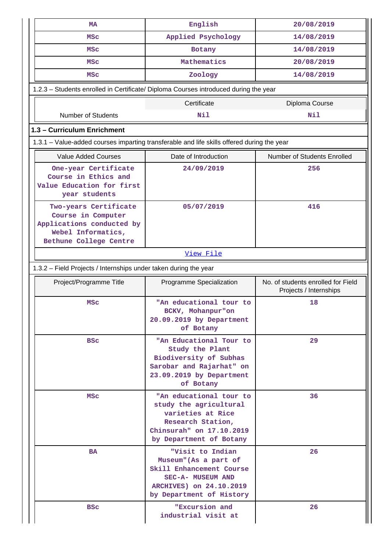| MA                                                                                                                       | English                                                                                                                                            | 20/08/2019                                                   |  |  |  |  |  |
|--------------------------------------------------------------------------------------------------------------------------|----------------------------------------------------------------------------------------------------------------------------------------------------|--------------------------------------------------------------|--|--|--|--|--|
| <b>MSC</b>                                                                                                               | Applied Psychology                                                                                                                                 | 14/08/2019                                                   |  |  |  |  |  |
| <b>MSC</b>                                                                                                               | Botany                                                                                                                                             | 14/08/2019                                                   |  |  |  |  |  |
| <b>MSC</b>                                                                                                               | Mathematics                                                                                                                                        | 20/08/2019                                                   |  |  |  |  |  |
| <b>MSC</b>                                                                                                               | Zoology                                                                                                                                            | 14/08/2019                                                   |  |  |  |  |  |
| 1.2.3 - Students enrolled in Certificate/ Diploma Courses introduced during the year                                     |                                                                                                                                                    |                                                              |  |  |  |  |  |
|                                                                                                                          | Certificate                                                                                                                                        | Diploma Course                                               |  |  |  |  |  |
| <b>Number of Students</b>                                                                                                | Nil                                                                                                                                                | Nil                                                          |  |  |  |  |  |
| 1.3 - Curriculum Enrichment                                                                                              |                                                                                                                                                    |                                                              |  |  |  |  |  |
| 1.3.1 – Value-added courses imparting transferable and life skills offered during the year                               |                                                                                                                                                    |                                                              |  |  |  |  |  |
| <b>Value Added Courses</b>                                                                                               | Date of Introduction                                                                                                                               | Number of Students Enrolled                                  |  |  |  |  |  |
| One-year Certificate<br>Course in Ethics and<br>Value Education for first<br>year students                               | 24/09/2019                                                                                                                                         | 256                                                          |  |  |  |  |  |
| Two-years Certificate<br>Course in Computer<br>Applications conducted by<br>Webel Informatics,<br>Bethune College Centre | 05/07/2019                                                                                                                                         | 416                                                          |  |  |  |  |  |
|                                                                                                                          | View File                                                                                                                                          |                                                              |  |  |  |  |  |
| 1.3.2 - Field Projects / Internships under taken during the year                                                         |                                                                                                                                                    |                                                              |  |  |  |  |  |
|                                                                                                                          |                                                                                                                                                    |                                                              |  |  |  |  |  |
| Project/Programme Title                                                                                                  | Programme Specialization                                                                                                                           | No. of students enrolled for Field<br>Projects / Internships |  |  |  |  |  |
| <b>MSC</b>                                                                                                               | "An educational tour to<br>BCKV, Mohanpur"on<br>20.09.2019 by Department<br>of Botany                                                              | 18                                                           |  |  |  |  |  |
| <b>BSC</b>                                                                                                               | "An Educational Tour to<br>Study the Plant<br>Biodiversity of Subhas<br>Sarobar and Rajarhat" on<br>23.09.2019 by Department<br>of Botany          | 29                                                           |  |  |  |  |  |
| <b>MSC</b>                                                                                                               | "An educational tour to<br>study the agricultural<br>varieties at Rice<br>Research Station,<br>Chinsurah" on 17.10.2019<br>by Department of Botany | 36                                                           |  |  |  |  |  |
| <b>BA</b>                                                                                                                | "Visit to Indian<br>Museum" (As a part of<br>Skill Enhancement Course<br>SEC-A- MUSEUM AND<br>ARCHIVES) on 24.10.2019<br>by Department of History  | 26                                                           |  |  |  |  |  |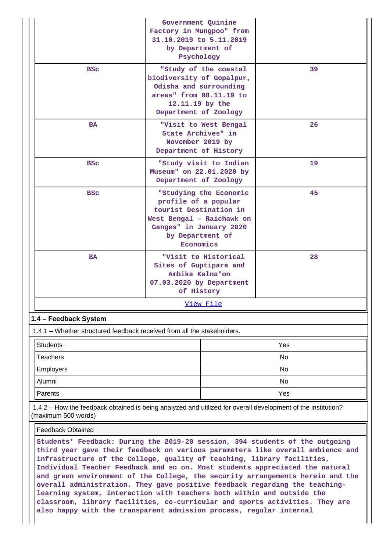|                                                                                                                                     | Government Quinine<br>Factory in Mungpoo" from<br>31.10.2019 to 5.11.2019<br>by Department of<br>Psychology                             |                        |     |  |  |  |  |  |
|-------------------------------------------------------------------------------------------------------------------------------------|-----------------------------------------------------------------------------------------------------------------------------------------|------------------------|-----|--|--|--|--|--|
| <b>BSC</b>                                                                                                                          | biodiversity of Gopalpur,<br>Odisha and surrounding<br>areas" from 08.11.19 to<br>12.11.19 by the<br>Department of Zoology              | "Study of the coastal  | 39  |  |  |  |  |  |
| <b>BA</b>                                                                                                                           | State Archives" in<br>November 2019 by<br>Department of History                                                                         | "Visit to West Bengal  | 26  |  |  |  |  |  |
| <b>BSC</b>                                                                                                                          | Museum" on 22.01.2020 by<br>Department of Zoology                                                                                       | "Study visit to Indian | 19  |  |  |  |  |  |
| <b>BSC</b>                                                                                                                          | profile of a popular<br>tourist Destination in<br>West Bengal - Raichawk on<br>Ganges" in January 2020<br>by Department of<br>Economics | "Studying the Economic | 45  |  |  |  |  |  |
| <b>BA</b>                                                                                                                           | Sites of Guptipara and<br>Ambika Kalna"on<br>07.03.2020 by Department<br>of History                                                     | "Visit to Historical   | 28  |  |  |  |  |  |
|                                                                                                                                     |                                                                                                                                         | View File              |     |  |  |  |  |  |
| 1.4 - Feedback System                                                                                                               |                                                                                                                                         |                        |     |  |  |  |  |  |
| 1.4.1 - Whether structured feedback received from all the stakeholders.                                                             |                                                                                                                                         |                        |     |  |  |  |  |  |
| <b>Students</b>                                                                                                                     |                                                                                                                                         |                        | Yes |  |  |  |  |  |
| <b>Teachers</b>                                                                                                                     |                                                                                                                                         |                        | No  |  |  |  |  |  |
| Employers                                                                                                                           |                                                                                                                                         |                        | No  |  |  |  |  |  |
| Alumni                                                                                                                              |                                                                                                                                         |                        | No  |  |  |  |  |  |
| Parents                                                                                                                             |                                                                                                                                         |                        | Yes |  |  |  |  |  |
| 1.4.2 - How the feedback obtained is being analyzed and utilized for overall development of the institution?<br>(maximum 500 words) |                                                                                                                                         |                        |     |  |  |  |  |  |
| <b>Feedback Obtained</b>                                                                                                            |                                                                                                                                         |                        |     |  |  |  |  |  |
| Students' Feedback: During the 2019-20 session, 394 students of the outgoing                                                        |                                                                                                                                         |                        |     |  |  |  |  |  |

**third year gave their feedback on various parameters like overall ambience and infrastructure of the College, quality of teaching, library facilities, Individual Teacher Feedback and so on. Most students appreciated the natural and green environment of the College, the security arrangements herein and the overall administration. They gave positive feedback regarding the teachinglearning system, interaction with teachers both within and outside the classroom, library facilities, co-curricular and sports activities. They are also happy with the transparent admission process, regular internal**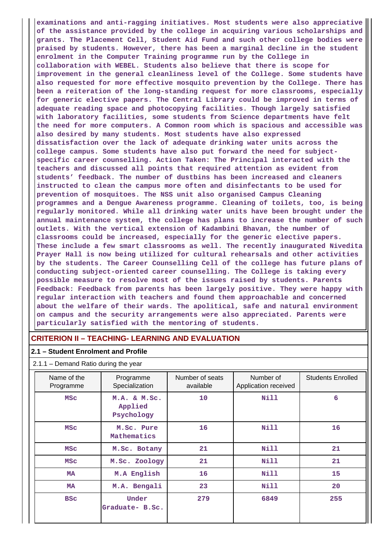**examinations and anti-ragging initiatives. Most students were also appreciative of the assistance provided by the college in acquiring various scholarships and grants. The Placement Cell, Student Aid Fund and such other college bodies were praised by students. However, there has been a marginal decline in the student enrolment in the Computer Training programme run by the College in collaboration with WEBEL. Students also believe that there is scope for improvement in the general cleanliness level of the College. Some students have also requested for more effective mosquito prevention by the College. There has been a reiteration of the long-standing request for more classrooms, especially for generic elective papers. The Central Library could be improved in terms of adequate reading space and photocopying facilities. Though largely satisfied with laboratory facilities, some students from Science departments have felt the need for more computers. A Common room which is spacious and accessible was also desired by many students. Most students have also expressed dissatisfaction over the lack of adequate drinking water units across the college campus. Some students have also put forward the need for subjectspecific career counselling. Action Taken: The Principal interacted with the teachers and discussed all points that required attention as evident from students' feedback. The number of dustbins has been increased and cleaners instructed to clean the campus more often and disinfectants to be used for prevention of mosquitoes. The NSS unit also organised Campus Cleaning programmes and a Dengue Awareness programme. Cleaning of toilets, too, is being regularly monitored. While all drinking water units have been brought under the annual maintenance system, the college has plans to increase the number of such outlets. With the vertical extension of Kadambini Bhavan, the number of classrooms could be increased, especially for the generic elective papers. These include a few smart classrooms as well. The recently inaugurated Nivedita Prayer Hall is now being utilized for cultural rehearsals and other activities by the students. The Career Counselling Cell of the college has future plans of conducting subject-oriented career counselling. The College is taking every possible measure to resolve most of the issues raised by students. Parents Feedback: Feedback from parents has been largely positive. They were happy with regular interaction with teachers and found them approachable and concerned about the welfare of their wards. The apolitical, safe and natural environment on campus and the security arrangements were also appreciated. Parents were particularly satisfied with the mentoring of students.**

### **CRITERION II – TEACHING- LEARNING AND EVALUATION**

#### **2.1 – Student Enrolment and Profile**

#### 2.1.1 – Demand Ratio during the year

| Name of the<br>Programme | Programme<br>Specialization                 | Number of seats<br>available | Number of<br>Application received | <b>Students Enrolled</b> |
|--------------------------|---------------------------------------------|------------------------------|-----------------------------------|--------------------------|
| <b>MSC</b>               | 10<br>M.A. & M.Sc.<br>Applied<br>Psychology |                              | Nill                              | 6                        |
| <b>MSC</b>               | M.Sc. Pure<br>Mathematics                   | 16                           | Nill                              | 16                       |
| <b>MSC</b>               | M.Sc. Botany                                | 21                           | Nill                              | 21                       |
| <b>MSC</b>               | M.Sc. Zoology                               | 21                           | Nill                              | 21                       |
| MA                       | M.A English                                 | 16                           | Nill                              | 15                       |
| MA                       | M.A. Bengali                                | 23                           | Nill                              | 20                       |
| <b>BSC</b>               | Under<br>Graduate- B.Sc.                    | 279                          | 6849                              | 255                      |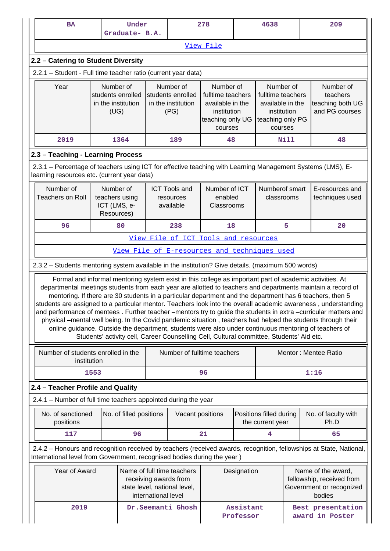| <b>BA</b>                                                                                                                                                                                                                                                                                                                                                                                                                                                                                                                                                                                                                                                                                                                                                                                        |                                                              | Under<br>Graduate- B.A. |  | 278                                                                                                                       |                                                                                                  | 4638                   |                                                                                                  | 209 |                                                                                       |
|--------------------------------------------------------------------------------------------------------------------------------------------------------------------------------------------------------------------------------------------------------------------------------------------------------------------------------------------------------------------------------------------------------------------------------------------------------------------------------------------------------------------------------------------------------------------------------------------------------------------------------------------------------------------------------------------------------------------------------------------------------------------------------------------------|--------------------------------------------------------------|-------------------------|--|---------------------------------------------------------------------------------------------------------------------------|--------------------------------------------------------------------------------------------------|------------------------|--------------------------------------------------------------------------------------------------|-----|---------------------------------------------------------------------------------------|
|                                                                                                                                                                                                                                                                                                                                                                                                                                                                                                                                                                                                                                                                                                                                                                                                  |                                                              |                         |  |                                                                                                                           | View File                                                                                        |                        |                                                                                                  |     |                                                                                       |
| 2.2 - Catering to Student Diversity                                                                                                                                                                                                                                                                                                                                                                                                                                                                                                                                                                                                                                                                                                                                                              |                                                              |                         |  |                                                                                                                           |                                                                                                  |                        |                                                                                                  |     |                                                                                       |
| 2.2.1 - Student - Full time teacher ratio (current year data)                                                                                                                                                                                                                                                                                                                                                                                                                                                                                                                                                                                                                                                                                                                                    |                                                              |                         |  |                                                                                                                           |                                                                                                  |                        |                                                                                                  |     |                                                                                       |
| Year                                                                                                                                                                                                                                                                                                                                                                                                                                                                                                                                                                                                                                                                                                                                                                                             | Number of<br>students enrolled<br>in the institution<br>(UG) |                         |  | Number of<br>students enrolled<br>in the institution<br>(PG)                                                              | Number of<br>fulltime teachers<br>available in the<br>institution<br>teaching only UG<br>courses |                        | Number of<br>fulltime teachers<br>available in the<br>institution<br>teaching only PG<br>courses |     | Number of<br>teachers<br>teaching both UG<br>and PG courses                           |
| 2019                                                                                                                                                                                                                                                                                                                                                                                                                                                                                                                                                                                                                                                                                                                                                                                             |                                                              | 1364                    |  | 189                                                                                                                       | 48                                                                                               |                        | Nill                                                                                             |     | 48                                                                                    |
| 2.3 - Teaching - Learning Process                                                                                                                                                                                                                                                                                                                                                                                                                                                                                                                                                                                                                                                                                                                                                                |                                                              |                         |  |                                                                                                                           |                                                                                                  |                        |                                                                                                  |     |                                                                                       |
| 2.3.1 – Percentage of teachers using ICT for effective teaching with Learning Management Systems (LMS), E-<br>learning resources etc. (current year data)                                                                                                                                                                                                                                                                                                                                                                                                                                                                                                                                                                                                                                        |                                                              |                         |  |                                                                                                                           |                                                                                                  |                        |                                                                                                  |     |                                                                                       |
| Number of<br><b>Teachers on Roll</b>                                                                                                                                                                                                                                                                                                                                                                                                                                                                                                                                                                                                                                                                                                                                                             | Number of<br>teachers using<br>ICT (LMS, e-<br>Resources)    |                         |  | <b>ICT Tools and</b><br>resources<br>available                                                                            | Number of ICT<br>enabled<br>Classrooms                                                           |                        | Numberof smart<br>classrooms                                                                     |     | E-resources and<br>techniques used                                                    |
| 96                                                                                                                                                                                                                                                                                                                                                                                                                                                                                                                                                                                                                                                                                                                                                                                               |                                                              | 80                      |  | 238                                                                                                                       | 18                                                                                               |                        | 5                                                                                                |     | 20                                                                                    |
|                                                                                                                                                                                                                                                                                                                                                                                                                                                                                                                                                                                                                                                                                                                                                                                                  |                                                              |                         |  | View File of ICT Tools and resources                                                                                      |                                                                                                  |                        |                                                                                                  |     |                                                                                       |
|                                                                                                                                                                                                                                                                                                                                                                                                                                                                                                                                                                                                                                                                                                                                                                                                  |                                                              |                         |  | View File of E-resources and techniques used                                                                              |                                                                                                  |                        |                                                                                                  |     |                                                                                       |
| 2.3.2 - Students mentoring system available in the institution? Give details. (maximum 500 words)                                                                                                                                                                                                                                                                                                                                                                                                                                                                                                                                                                                                                                                                                                |                                                              |                         |  |                                                                                                                           |                                                                                                  |                        |                                                                                                  |     |                                                                                       |
| Formal and informal mentoring system exist in this college as important part of academic activities. At<br>departmental meetings students from each year are allotted to teachers and departments maintain a record of<br>mentoring. If there are 30 students in a particular department and the department has 6 teachers, then 5<br>students are assigned to a particular mentor. Teachers look into the overall academic awareness, understanding<br>and performance of mentees. Further teacher -mentors try to guide the students in extra -curricular matters and<br>physical -mental well being. In the Covid pandemic situation, teachers had helped the students through their<br>online guidance. Outside the department, students were also under continuous mentoring of teachers of |                                                              |                         |  | Students' activity cell, Career Counselling Cell, Cultural committee, Students' Aid etc.                                  |                                                                                                  |                        |                                                                                                  |     |                                                                                       |
| Number of students enrolled in the<br>institution                                                                                                                                                                                                                                                                                                                                                                                                                                                                                                                                                                                                                                                                                                                                                |                                                              |                         |  |                                                                                                                           | Number of fulltime teachers<br>Mentor: Mentee Ratio                                              |                        |                                                                                                  |     |                                                                                       |
|                                                                                                                                                                                                                                                                                                                                                                                                                                                                                                                                                                                                                                                                                                                                                                                                  | 1553                                                         |                         |  |                                                                                                                           | 96                                                                                               |                        |                                                                                                  |     | 1:16                                                                                  |
| 2.4 - Teacher Profile and Quality                                                                                                                                                                                                                                                                                                                                                                                                                                                                                                                                                                                                                                                                                                                                                                |                                                              |                         |  |                                                                                                                           |                                                                                                  |                        |                                                                                                  |     |                                                                                       |
| 2.4.1 - Number of full time teachers appointed during the year                                                                                                                                                                                                                                                                                                                                                                                                                                                                                                                                                                                                                                                                                                                                   |                                                              |                         |  |                                                                                                                           |                                                                                                  |                        |                                                                                                  |     |                                                                                       |
| No. of sanctioned<br>positions                                                                                                                                                                                                                                                                                                                                                                                                                                                                                                                                                                                                                                                                                                                                                                   |                                                              | No. of filled positions |  | Vacant positions                                                                                                          |                                                                                                  |                        | Positions filled during<br>the current year                                                      |     | No. of faculty with<br>Ph.D                                                           |
| 117                                                                                                                                                                                                                                                                                                                                                                                                                                                                                                                                                                                                                                                                                                                                                                                              |                                                              | 96                      |  |                                                                                                                           | 21                                                                                               |                        | 4                                                                                                |     | 65                                                                                    |
| 2.4.2 - Honours and recognition received by teachers (received awards, recognition, fellowships at State, National,<br>International level from Government, recognised bodies during the year)                                                                                                                                                                                                                                                                                                                                                                                                                                                                                                                                                                                                   |                                                              |                         |  |                                                                                                                           |                                                                                                  |                        |                                                                                                  |     |                                                                                       |
| Year of Award                                                                                                                                                                                                                                                                                                                                                                                                                                                                                                                                                                                                                                                                                                                                                                                    |                                                              |                         |  | Name of full time teachers<br>Designation<br>receiving awards from<br>state level, national level,<br>international level |                                                                                                  |                        |                                                                                                  |     | Name of the award,<br>fellowship, received from<br>Government or recognized<br>bodies |
| 2019<br>Dr.Seemanti Ghosh                                                                                                                                                                                                                                                                                                                                                                                                                                                                                                                                                                                                                                                                                                                                                                        |                                                              |                         |  |                                                                                                                           |                                                                                                  | Assistant<br>Professor |                                                                                                  |     | Best presentation<br>award in Poster                                                  |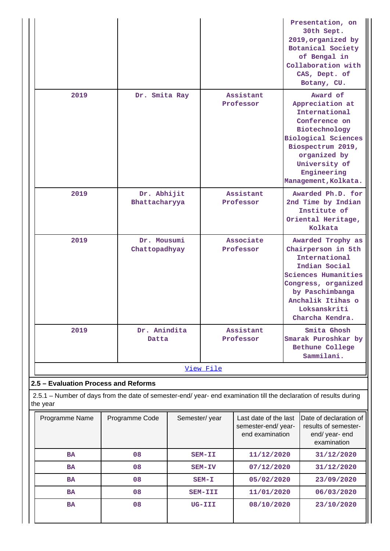|                                                                                                                                |                              |                        | Presentation, on<br>30th Sept.<br>2019, organized by<br>Botanical Society<br>of Bengal in<br>Collaboration with<br>CAS, Dept. of<br>Botany, CU.                                                           |  |  |  |
|--------------------------------------------------------------------------------------------------------------------------------|------------------------------|------------------------|-----------------------------------------------------------------------------------------------------------------------------------------------------------------------------------------------------------|--|--|--|
| 2019                                                                                                                           | Dr. Smita Ray                | Assistant<br>Professor | Award of<br>Appreciation at<br>International<br>Conference on<br>Biotechnology<br><b>Biological Sciences</b><br>Biospectrum 2019,<br>organized by<br>University of<br>Engineering<br>Management, Kolkata. |  |  |  |
| 2019                                                                                                                           | Dr. Abhijit<br>Bhattacharyya | Assistant<br>Professor | Awarded Ph.D. for<br>2nd Time by Indian<br>Institute of<br>Oriental Heritage,<br>Kolkata                                                                                                                  |  |  |  |
| 2019                                                                                                                           | Dr. Mousumi<br>Chattopadhyay | Associate<br>Professor | Awarded Trophy as<br>Chairperson in 5th<br>International<br>Indian Social<br><b>Sciences Humanities</b><br>Congress, organized<br>by Paschimbanga<br>Anchalik Itihas o<br>Loksanskriti<br>Charcha Kendra. |  |  |  |
| 2019                                                                                                                           | Dr. Anindita<br>Datta        | Assistant<br>Professor | Smita Ghosh<br>Smarak Puroshkar by<br>Bethune College<br>Sammilani.                                                                                                                                       |  |  |  |
|                                                                                                                                |                              | <u>View File</u>       |                                                                                                                                                                                                           |  |  |  |
| 2.5 - Evaluation Process and Reforms                                                                                           |                              |                        |                                                                                                                                                                                                           |  |  |  |
| 2.5.1 – Number of days from the date of semester-end/ year- end examination till the declaration of results during<br>the year |                              |                        |                                                                                                                                                                                                           |  |  |  |

| Programme Name | Programme Code | Semester/year | Last date of the last<br>semester-end/year-<br>end examination | Date of declaration of<br>results of semester-<br>end/ year- end<br>examination |
|----------------|----------------|---------------|----------------------------------------------------------------|---------------------------------------------------------------------------------|
| <b>BA</b>      | 08             | $SEM-TI$      | 11/12/2020                                                     | 31/12/2020                                                                      |
| <b>BA</b>      | 08             | SEM-IV        | 07/12/2020                                                     | 31/12/2020                                                                      |
| <b>BA</b>      | 08             | $SEM-T$       | 05/02/2020                                                     | 23/09/2020                                                                      |
| <b>BA</b>      | 08             | SEM-III       | 11/01/2020                                                     | 06/03/2020                                                                      |
| <b>BA</b>      | 08             | UG-III        | 08/10/2020                                                     | 23/10/2020                                                                      |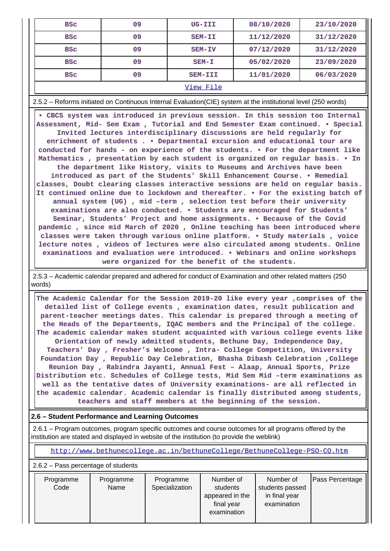| <b>BSC</b> | 09 | $UG-TIT$      | 08/10/2020 | 23/10/2020 |
|------------|----|---------------|------------|------------|
| <b>BSC</b> | 09 | SEM-II        | 11/12/2020 | 31/12/2020 |
| <b>BSC</b> | 09 | SEM-IV        | 07/12/2020 | 31/12/2020 |
| <b>BSC</b> | 09 | $SEM-T$       | 05/02/2020 | 23/09/2020 |
| <b>BSC</b> | 09 | SEM-III       | 11/01/2020 | 06/03/2020 |
|            |    | $- -$<br>$ -$ |            |            |

[View File](https://assessmentonline.naac.gov.in/public/Postacc/Evaluation/10676_Evaluation_1621543855.xlsx)

2.5.2 – Reforms initiated on Continuous Internal Evaluation(CIE) system at the institutional level (250 words)

 **• CBCS system was introduced in previous session. In this session too Internal Assessment, Mid- Sem Exam , Tutorial and End Semester Exam continued. • Special Invited lectures interdisciplinary discussions are held regularly for enrichment of students . • Departmental excursion and educational tour are conducted for hands - on experience of the students. • For the department like Mathematics , presentation by each student is organized on regular basis. • In the department like History, visits to Museums and Archives have been introduced as part of the Students' Skill Enhancement Course. • Remedial classes, Doubt clearing classes interactive sessions are held on regular basis. It continued online due to lockdown and thereafter. • For the existing batch of annual system (UG) , mid –term , selection test before their university examinations are also conducted. • Students are encouraged for Students' Seminar, Students' Project and home assignments. • Because of the Covid pandemic , since mid March of 2020 , Online teaching has been introduced where classes were taken through various online platform. • Study materials , voice lecture notes , videos of lectures were also circulated among students. Online examinations and evaluation were introduced. • Webinars and online workshops were organized for the benefit of the students.**

 2.5.3 – Academic calendar prepared and adhered for conduct of Examination and other related matters (250 words)

 **The Academic Calendar for the Session 2019-20 like every year ,comprises of the detailed list of College events , examination dates, result publication and parent-teacher meetings dates. This calendar is prepared through a meeting of the Heads of the Departments, IQAC members and the Principal of the college. The academic calendar makes student acquainted with various college events like Orientation of newly admitted students, Bethune Day, Independence Day, Teachers' Day , Fresher's Welcome , Intra- College Competition, University Foundation Day , Republic Day Celebration, Bhasha Dibash Celebration ,College Reunion Day , Rabindra Jayanti, Annual Fest – Alaap, Annual Sports, Prize Distribution etc. Schedules of College tests, Mid Sem Mid –term examinations as well as the tentative dates of University examinations- are all reflected in the academic calendar. Academic calendar is finally distributed among students, teachers and staff members at the beginning of the session.**

### **2.6 – Student Performance and Learning Outcomes**

 2.6.1 – Program outcomes, program specific outcomes and course outcomes for all programs offered by the institution are stated and displayed in website of the institution (to provide the weblink)

<http://www.bethunecollege.ac.in/bethuneCollege/BethuneCollege-PSO-CO.htm>

2.6.2 – Pass percentage of students

| Programme<br>Programme<br>Code<br>Name | Programme<br>Specialization | Number of<br>students<br>appeared in the<br>final year<br>examination | Number of<br>students passed<br>in final year<br>examination | Pass Percentage |
|----------------------------------------|-----------------------------|-----------------------------------------------------------------------|--------------------------------------------------------------|-----------------|
|----------------------------------------|-----------------------------|-----------------------------------------------------------------------|--------------------------------------------------------------|-----------------|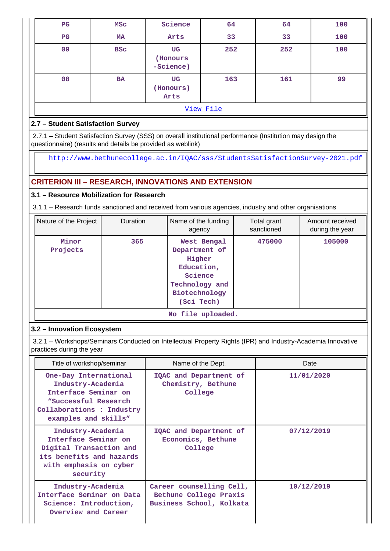| $_{\rm PG}$ | MSC        | Science                     | 64  | 64  | 100 |  |
|-------------|------------|-----------------------------|-----|-----|-----|--|
| $_{\rm PG}$ | MA         | Arts                        | 33  | 33  | 100 |  |
| 09          | <b>BSC</b> | UG<br>(Honours<br>-Science) | 252 | 252 | 100 |  |
| 08          | <b>BA</b>  | UG<br>(Honours)<br>Arts     | 163 | 161 | 99  |  |
| View File   |            |                             |     |     |     |  |

## **2.7 – Student Satisfaction Survey**

 2.7.1 – Student Satisfaction Survey (SSS) on overall institutional performance (Institution may design the questionnaire) (results and details be provided as weblink)

<http://www.bethunecollege.ac.in/IQAC/sss/StudentsSatisfactionSurvey-2021.pdf>

## **CRITERION III – RESEARCH, INNOVATIONS AND EXTENSION**

## **3.1 – Resource Mobilization for Research**

3.1.1 – Research funds sanctioned and received from various agencies, industry and other organisations

| Nature of the Project | Duration<br>Name of the funding<br>agency |                                                                                                                  | Total grant<br>sanctioned | Amount received<br>during the year |
|-----------------------|-------------------------------------------|------------------------------------------------------------------------------------------------------------------|---------------------------|------------------------------------|
| Minor<br>Projects     | 365                                       | West Bengal<br>Department of<br>Higher<br>Education,<br>Science<br>Technology and<br>Biotechnology<br>(Sci Tech) | 475000                    | 105000                             |
|                       |                                           | No file uploaded.                                                                                                |                           |                                    |

## **3.2 – Innovation Ecosystem**

 3.2.1 – Workshops/Seminars Conducted on Intellectual Property Rights (IPR) and Industry-Academia Innovative practices during the year

| Title of workshop/seminar                                                                                                                       | Name of the Dept.                                                              | Date       |
|-------------------------------------------------------------------------------------------------------------------------------------------------|--------------------------------------------------------------------------------|------------|
| One-Day International<br>Industry-Academia<br>Interface Seminar on<br>"Successful Research<br>Collaborations : Industry<br>examples and skills" | IQAC and Department of<br>Chemistry, Bethune<br>College                        | 11/01/2020 |
| Industry-Academia<br>Interface Seminar on<br>Digital Transaction and<br>its benefits and hazards<br>with emphasis on cyber<br>security          | IQAC and Department of<br>Economics, Bethune<br>College                        | 07/12/2019 |
| Industry-Academia<br>Interface Seminar on Data<br>Science: Introduction,<br>Overview and Career                                                 | Career counselling Cell,<br>Bethune College Praxis<br>Business School, Kolkata | 10/12/2019 |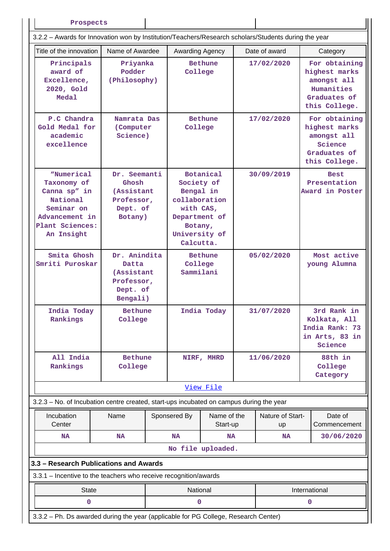| Prospects                                                                                                                     |                                                                                 |  |                                                                                                                                     |                   |                        |               |                         |                                                                                              |
|-------------------------------------------------------------------------------------------------------------------------------|---------------------------------------------------------------------------------|--|-------------------------------------------------------------------------------------------------------------------------------------|-------------------|------------------------|---------------|-------------------------|----------------------------------------------------------------------------------------------|
| 3.2.2 - Awards for Innovation won by Institution/Teachers/Research scholars/Students during the year                          |                                                                                 |  |                                                                                                                                     |                   |                        |               |                         |                                                                                              |
| Title of the innovation<br>Name of Awardee                                                                                    |                                                                                 |  | Awarding Agency                                                                                                                     |                   |                        | Date of award |                         | Category                                                                                     |
| Principals<br>award of<br>Excellence,<br>2020, Gold<br>Medal                                                                  | Priyanka<br>Podder<br>(Philosophy)                                              |  | <b>Bethune</b><br>College                                                                                                           |                   | 17/02/2020             |               |                         | For obtaining<br>highest marks<br>amongst all<br>Humanities<br>Graduates of<br>this College. |
| P.C Chandra<br>Gold Medal for<br>academic<br>excellence                                                                       | Namrata Das<br>(Computer)<br>Science)                                           |  | <b>Bethune</b><br>College                                                                                                           |                   | 17/02/2020             |               |                         | For obtaining<br>highest marks<br>amongst all<br>Science<br>Graduates of<br>this College.    |
| <i>WNumerical</i><br>Taxonomy of<br>Canna sp" in<br>National<br>Seminar on<br>Advancement in<br>Plant Sciences:<br>An Insight | Dr. Seemanti<br>Ghosh<br><i>(Assistant</i><br>Professor,<br>Dept. of<br>Botany) |  | <b>Botanical</b><br>Society of<br>Bengal in<br>collaboration<br>with CAS,<br>Department of<br>Botany,<br>University of<br>Calcutta. |                   | 30/09/2019             |               |                         | <b>Best</b><br>Presentation<br>Award in Poster                                               |
| Smita Ghosh<br>Smriti Puroskar                                                                                                | Dr. Anindita<br>Datta<br>(Assistant<br>Professor,<br>Dept. of<br>Bengali)       |  | <b>Bethune</b><br>College<br>Sammilani                                                                                              |                   | 05/02/2020             |               |                         | Most active<br>young Alumna                                                                  |
| India Today<br>Rankings                                                                                                       | <b>Bethune</b><br>College                                                       |  | India Today                                                                                                                         |                   | 31/07/2020             |               |                         | 3rd Rank in<br>Kolkata, All<br>India Rank: 73<br>in Arts, 83 in<br>Science                   |
| All India<br>Rankings                                                                                                         | <b>Bethune</b><br>College                                                       |  |                                                                                                                                     | NIRF, MHRD        |                        | 11/06/2020    |                         | 88th in<br>College<br>Category                                                               |
|                                                                                                                               |                                                                                 |  |                                                                                                                                     | View File         |                        |               |                         |                                                                                              |
| 3.2.3 - No. of Incubation centre created, start-ups incubated on campus during the year                                       |                                                                                 |  |                                                                                                                                     |                   |                        |               |                         |                                                                                              |
| Incubation<br>Center                                                                                                          | Name                                                                            |  | Name of the<br>Sponsered By<br>Start-up                                                                                             |                   | Nature of Start-<br>up |               | Date of<br>Commencement |                                                                                              |
| <b>NA</b>                                                                                                                     | <b>NA</b>                                                                       |  | <b>NA</b>                                                                                                                           | <b>NA</b>         |                        | <b>NA</b>     |                         | 30/06/2020                                                                                   |
|                                                                                                                               |                                                                                 |  |                                                                                                                                     | No file uploaded. |                        |               |                         |                                                                                              |
| 3.3 - Research Publications and Awards                                                                                        |                                                                                 |  |                                                                                                                                     |                   |                        |               |                         |                                                                                              |
| 3.3.1 - Incentive to the teachers who receive recognition/awards                                                              |                                                                                 |  |                                                                                                                                     |                   |                        |               |                         |                                                                                              |
| <b>State</b>                                                                                                                  |                                                                                 |  | National                                                                                                                            |                   |                        |               |                         | International                                                                                |
| 0                                                                                                                             |                                                                                 |  | 0                                                                                                                                   |                   |                        |               | 0                       |                                                                                              |
| 3.3.2 - Ph. Ds awarded during the year (applicable for PG College, Research Center)                                           |                                                                                 |  |                                                                                                                                     |                   |                        |               |                         |                                                                                              |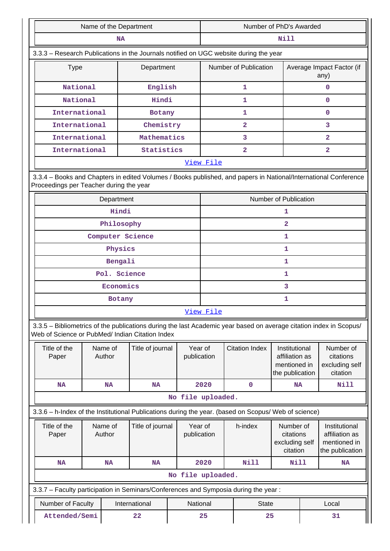| Name of the Department                                                                                                                                                |                  | Number of PhD's Awarded                                                               |                                   |  |  |  |
|-----------------------------------------------------------------------------------------------------------------------------------------------------------------------|------------------|---------------------------------------------------------------------------------------|-----------------------------------|--|--|--|
|                                                                                                                                                                       | NA               | <b>Nill</b>                                                                           |                                   |  |  |  |
|                                                                                                                                                                       |                  | 3.3.3 - Research Publications in the Journals notified on UGC website during the year |                                   |  |  |  |
| <b>Type</b>                                                                                                                                                           | Department       | Number of Publication                                                                 | Average Impact Factor (if<br>any) |  |  |  |
| National                                                                                                                                                              | English          | 1                                                                                     | $\mathbf 0$                       |  |  |  |
| National                                                                                                                                                              | Hindi            | 1                                                                                     | $\Omega$                          |  |  |  |
| International                                                                                                                                                         | <b>Botany</b>    | $\mathbf{1}$                                                                          | $\mathbf{O}$                      |  |  |  |
| International                                                                                                                                                         | Chemistry        | $\overline{2}$                                                                        | 3                                 |  |  |  |
| International                                                                                                                                                         | Mathematics      | 3                                                                                     | $\overline{2}$                    |  |  |  |
| International                                                                                                                                                         | Statistics       | $\overline{2}$                                                                        | $\overline{a}$                    |  |  |  |
| View File                                                                                                                                                             |                  |                                                                                       |                                   |  |  |  |
| 3.3.4 - Books and Chapters in edited Volumes / Books published, and papers in National/International Conference<br>Proceedings per Teacher during the year            |                  |                                                                                       |                                   |  |  |  |
| Department                                                                                                                                                            |                  | <b>Number of Publication</b>                                                          |                                   |  |  |  |
|                                                                                                                                                                       | Hindi            | 1                                                                                     |                                   |  |  |  |
|                                                                                                                                                                       | Philosophy       | $\overline{2}$                                                                        |                                   |  |  |  |
|                                                                                                                                                                       | Computer Science |                                                                                       | 1                                 |  |  |  |
|                                                                                                                                                                       | Physics          |                                                                                       | 1                                 |  |  |  |
|                                                                                                                                                                       | Bengali          |                                                                                       | 1                                 |  |  |  |
|                                                                                                                                                                       | Pol. Science     |                                                                                       | 1                                 |  |  |  |
|                                                                                                                                                                       | Economics        |                                                                                       | 3                                 |  |  |  |
|                                                                                                                                                                       | Botany           |                                                                                       | 1                                 |  |  |  |
|                                                                                                                                                                       |                  | View File                                                                             |                                   |  |  |  |
| 3.3.5 - Bibliometrics of the publications during the last Academic year based on average citation index in Scopus/<br>Web of Science or PubMed/ Indian Citation Index |                  |                                                                                       |                                   |  |  |  |

| Title of the<br>Paper                                                                                | Name of<br>Author | Title of journal | Year of<br>publication                                                              | <b>Citation Index</b> | Institutional<br>affiliation as<br>mentioned in<br>the publication | Number of<br>citations<br>excluding self<br>citation               |  |  |  |
|------------------------------------------------------------------------------------------------------|-------------------|------------------|-------------------------------------------------------------------------------------|-----------------------|--------------------------------------------------------------------|--------------------------------------------------------------------|--|--|--|
| <b>NA</b>                                                                                            | <b>NA</b>         | <b>NA</b>        | 2020                                                                                | $\mathbf 0$           | <b>NA</b>                                                          | Nill                                                               |  |  |  |
| No file uploaded.                                                                                    |                   |                  |                                                                                     |                       |                                                                    |                                                                    |  |  |  |
| 3.3.6 - h-Index of the Institutional Publications during the year. (based on Scopus/ Web of science) |                   |                  |                                                                                     |                       |                                                                    |                                                                    |  |  |  |
| Title of the<br>Paper                                                                                | Name of<br>Author | Title of journal | Year of<br>publication                                                              | h-index               | Number of<br>citations<br>excluding self<br>citation               | Institutional<br>affiliation as<br>mentioned in<br>the publication |  |  |  |
| <b>NA</b>                                                                                            | <b>NA</b>         | <b>NA</b>        | 2020                                                                                | Nill                  | Nill                                                               | <b>NA</b>                                                          |  |  |  |
|                                                                                                      |                   |                  | No file uploaded.                                                                   |                       |                                                                    |                                                                    |  |  |  |
|                                                                                                      |                   |                  | 3.3.7 - Faculty participation in Seminars/Conferences and Symposia during the year: |                       |                                                                    |                                                                    |  |  |  |
| Number of Faculty                                                                                    |                   | International    | National<br><b>State</b>                                                            |                       |                                                                    | Local                                                              |  |  |  |
| Attended/Semi                                                                                        |                   | 22               | 25                                                                                  | 25                    |                                                                    | 31                                                                 |  |  |  |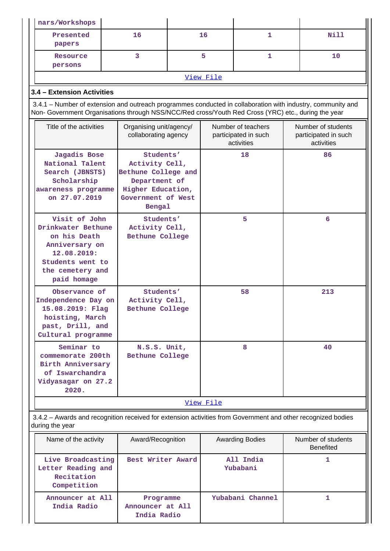| nars/Workshops                                                                                                                                                                                                     |                                                 |                                                                                                                      |                                                          |                        |                                                          |                                        |
|--------------------------------------------------------------------------------------------------------------------------------------------------------------------------------------------------------------------|-------------------------------------------------|----------------------------------------------------------------------------------------------------------------------|----------------------------------------------------------|------------------------|----------------------------------------------------------|----------------------------------------|
| Presented<br>papers                                                                                                                                                                                                | 16                                              |                                                                                                                      | 16<br>1                                                  |                        |                                                          | <b>Nill</b>                            |
| Resource<br>persons                                                                                                                                                                                                | 3                                               |                                                                                                                      | 5                                                        | 1                      |                                                          | 10                                     |
|                                                                                                                                                                                                                    |                                                 |                                                                                                                      | View File                                                |                        |                                                          |                                        |
| 3.4 - Extension Activities                                                                                                                                                                                         |                                                 |                                                                                                                      |                                                          |                        |                                                          |                                        |
| 3.4.1 – Number of extension and outreach programmes conducted in collaboration with industry, community and<br>Non- Government Organisations through NSS/NCC/Red cross/Youth Red Cross (YRC) etc., during the year |                                                 |                                                                                                                      |                                                          |                        |                                                          |                                        |
| Title of the activities                                                                                                                                                                                            | Organising unit/agency/<br>collaborating agency |                                                                                                                      | Number of teachers<br>participated in such<br>activities |                        | Number of students<br>participated in such<br>activities |                                        |
| Jagadis Bose<br>National Talent<br>Search (JBNSTS)<br>Scholarship<br>awareness programme<br>on 27.07.2019                                                                                                          | Bengal                                          | Students'<br>18<br>Activity Cell,<br>Bethune College and<br>Department of<br>Higher Education,<br>Government of West |                                                          |                        |                                                          | 86                                     |
| Visit of John<br>Drinkwater Bethune<br>on his Death<br>Anniversary on<br>12.08.2019:<br>Students went to<br>the cemetery and<br>paid homage                                                                        |                                                 | Students'<br>Activity Cell,<br>Bethune College                                                                       |                                                          | 5                      |                                                          | 6                                      |
| Observance of<br>Independence Day on<br>15.08.2019: Flag<br>hoisting, March<br>past, Drill, and<br>Cultural programme                                                                                              | Students'<br>Activity Cell,<br>Bethune College  |                                                                                                                      |                                                          | 58                     |                                                          | 213                                    |
| Seminar to<br>commemorate 200th<br>Birth Anniversary<br>of Iswarchandra<br>Vidyasagar on 27.2<br>2020.                                                                                                             | N.S.S. Unit,<br>Bethune College                 |                                                                                                                      |                                                          | 8                      |                                                          | 40                                     |
|                                                                                                                                                                                                                    |                                                 |                                                                                                                      | <u>View File</u>                                         |                        |                                                          |                                        |
| 3.4.2 - Awards and recognition received for extension activities from Government and other recognized bodies<br>during the year                                                                                    |                                                 |                                                                                                                      |                                                          |                        |                                                          |                                        |
| Name of the activity                                                                                                                                                                                               | Award/Recognition                               |                                                                                                                      |                                                          | <b>Awarding Bodies</b> |                                                          | Number of students<br><b>Benefited</b> |
| Live Broadcasting<br>Letter Reading and<br>Recitation<br>Competition                                                                                                                                               | Best Writer Award                               |                                                                                                                      | All India<br>Yubabani                                    |                        |                                                          | 1                                      |
| Announcer at All<br>India Radio                                                                                                                                                                                    | Programme<br>Announcer at All<br>India Radio    |                                                                                                                      | Yubabani Channel                                         |                        |                                                          | 1                                      |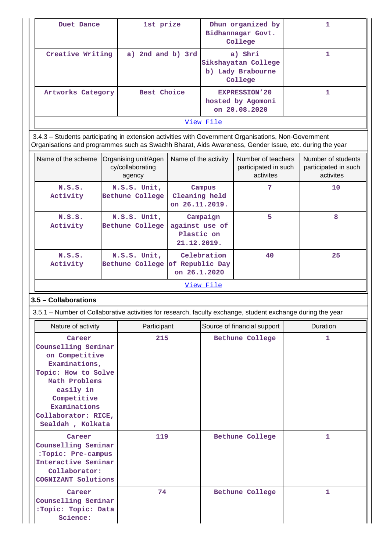| Duet Dance                                                                                                                                                                                                     |  | 1st prize                                          |                                             | Dhun organized by<br>Bidhannagar Govt.<br>College          |                                                                | 1 |                                                         |  |
|----------------------------------------------------------------------------------------------------------------------------------------------------------------------------------------------------------------|--|----------------------------------------------------|---------------------------------------------|------------------------------------------------------------|----------------------------------------------------------------|---|---------------------------------------------------------|--|
| Creative Writing                                                                                                                                                                                               |  | a) 2nd and b) 3rd                                  |                                             |                                                            | a) Shri<br>Sikshayatan College<br>b) Lady Brabourne<br>College |   | 1                                                       |  |
| Artworks Category                                                                                                                                                                                              |  | Best Choice                                        |                                             | <b>EXPRESSION'20</b><br>hosted by Agomoni<br>on 20.08.2020 |                                                                | 1 |                                                         |  |
|                                                                                                                                                                                                                |  |                                                    |                                             | View File                                                  |                                                                |   |                                                         |  |
| 3.4.3 - Students participating in extension activities with Government Organisations, Non-Government<br>Organisations and programmes such as Swachh Bharat, Aids Awareness, Gender Issue, etc. during the year |  |                                                    |                                             |                                                            |                                                                |   |                                                         |  |
| Name of the scheme                                                                                                                                                                                             |  | Organising unit/Agen<br>cy/collaborating<br>agency | Name of the activity                        |                                                            | Number of teachers<br>participated in such<br>activites        |   | Number of students<br>participated in such<br>activites |  |
| N.S.S.<br>Activity                                                                                                                                                                                             |  | N.S.S. Unit,<br>Bethune College                    | Cleaning held<br>on 26.11.2019.             | Campus                                                     | 7                                                              |   | 10                                                      |  |
| N.S.S.<br>Activity                                                                                                                                                                                             |  | N.S.S. Unit,<br>Bethune College                    | against use of<br>Plastic on<br>21.12.2019. | Campaign                                                   | 5                                                              |   | 8                                                       |  |
| N.S.S.<br>Activity                                                                                                                                                                                             |  | N.S.S. Unit,<br>Bethune College                    | of Republic Day<br>on 26.1.2020             | Celebration                                                | 40                                                             |   | 25                                                      |  |
|                                                                                                                                                                                                                |  |                                                    |                                             | <u>View File</u>                                           |                                                                |   |                                                         |  |
| 3.5 - Collaborations                                                                                                                                                                                           |  |                                                    |                                             |                                                            |                                                                |   |                                                         |  |
| 3.5.1 – Number of Collaborative activities for research, faculty exchange, student exchange during the year                                                                                                    |  |                                                    |                                             |                                                            |                                                                |   |                                                         |  |
| Nature of activity                                                                                                                                                                                             |  | Participant                                        |                                             |                                                            | Source of financial support                                    |   | Duration                                                |  |
| Career<br>Counselling Seminar<br>on Competitive<br>Examinations,<br>Topic: How to Solve<br>Math Problems<br>easily in<br>Competitive<br>Examinations<br>Collaborator: RICE,<br>Sealdah , Kolkata               |  | 215                                                |                                             |                                                            | Bethune College                                                |   | 1                                                       |  |
| Career<br>Counselling Seminar<br>:Topic: Pre-campus<br>Interactive Seminar<br>Collaborator:<br>COGNIZANT Solutions                                                                                             |  | 119                                                |                                             |                                                            | Bethune College                                                |   | 1                                                       |  |
| Career<br>Counselling Seminar<br>:Topic: Topic: Data<br>Science:                                                                                                                                               |  | 74                                                 |                                             |                                                            | Bethune College                                                |   | 1                                                       |  |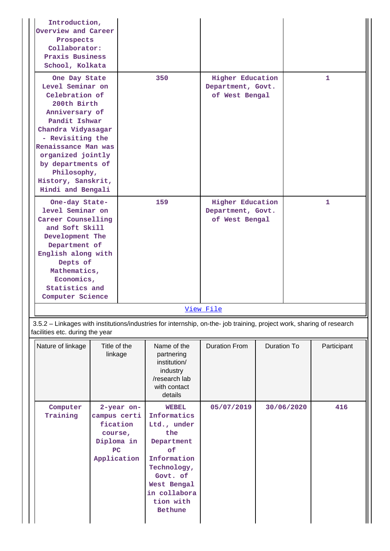| Introduction,<br>Overview and Career<br>Prospects<br>Collaborator:<br>Praxis Business<br>School, Kolkata                                                                                                                                                                   |                                                                                                                                                                                                                      |            |                                                                                                                                                                               |                                                                                                                                                                                                             |                                     |            |             |
|----------------------------------------------------------------------------------------------------------------------------------------------------------------------------------------------------------------------------------------------------------------------------|----------------------------------------------------------------------------------------------------------------------------------------------------------------------------------------------------------------------|------------|-------------------------------------------------------------------------------------------------------------------------------------------------------------------------------|-------------------------------------------------------------------------------------------------------------------------------------------------------------------------------------------------------------|-------------------------------------|------------|-------------|
| One Day State<br>Level Seminar on<br>Celebration of<br>200th Birth<br>Anniversary of<br>Pandit Ishwar<br>Chandra Vidyasagar<br>- Revisiting the<br>Renaissance Man was<br>organized jointly<br>by departments of<br>Philosophy,<br>History, Sanskrit,<br>Hindi and Bengali |                                                                                                                                                                                                                      |            | 350                                                                                                                                                                           | <b>Higher Education</b>                                                                                                                                                                                     | Department, Govt.<br>of West Bengal |            | 1           |
|                                                                                                                                                                                                                                                                            | One-day State-<br>level Seminar on<br>Career Counselling<br>and Soft Skill<br>Development The<br>Department of<br>English along with<br>Depts of<br>Mathematics,<br>Economics,<br>Statistics and<br>Computer Science |            | 159                                                                                                                                                                           | <b>Higher Education</b><br>Department, Govt.<br>of West Bengal<br><u>View File</u><br>3.5.2 - Linkages with institutions/industries for internship, on-the- job training, project work, sharing of research |                                     |            | 1           |
| facilities etc. during the year<br>Nature of linkage                                                                                                                                                                                                                       | Title of the<br>linkage                                                                                                                                                                                              |            | Name of the<br>partnering<br>institution/<br>industry<br>/research lab<br>with contact<br>details                                                                             | <b>Duration From</b>                                                                                                                                                                                        | <b>Duration To</b>                  |            | Participant |
| Computer<br>Training                                                                                                                                                                                                                                                       | campus certi<br>fication<br>course,<br>Diploma in<br>PC<br>Application                                                                                                                                               | 2-year on- | <b>WEBEL</b><br>Informatics<br>Ltd., under<br>the<br>Department<br>of<br>Information<br>Technology,<br>Govt. of<br>West Bengal<br>in collabora<br>tion with<br><b>Bethune</b> | 05/07/2019                                                                                                                                                                                                  |                                     | 30/06/2020 | 416         |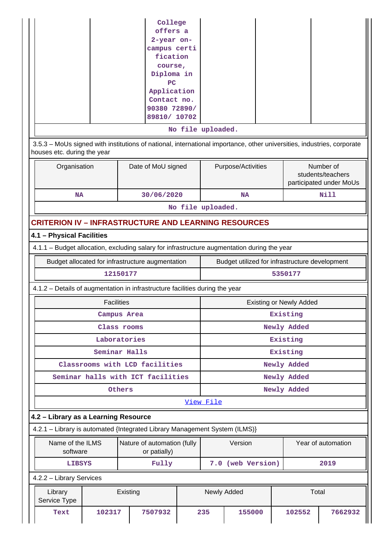|                                                                                             |                   | College<br>offers a<br>2-year on-<br>campus certi<br>fication<br>course,<br>Diploma in<br>PC<br>Application<br>Contact no.<br>90380 72890/<br>89810/ 10702 |  | No file uploaded. |                                                |                                |                                                           |  |
|---------------------------------------------------------------------------------------------|-------------------|------------------------------------------------------------------------------------------------------------------------------------------------------------|--|-------------------|------------------------------------------------|--------------------------------|-----------------------------------------------------------|--|
| houses etc. during the year                                                                 |                   | 3.5.3 – MoUs signed with institutions of national, international importance, other universities, industries, corporate                                     |  |                   |                                                |                                |                                                           |  |
| Organisation<br>Date of MoU signed                                                          |                   |                                                                                                                                                            |  |                   | Purpose/Activities                             |                                | Number of<br>students/teachers<br>participated under MoUs |  |
| <b>NA</b>                                                                                   |                   | 30/06/2020                                                                                                                                                 |  | No file uploaded. | <b>NA</b>                                      |                                | <b>Nill</b>                                               |  |
|                                                                                             |                   | <b>CRITERION IV - INFRASTRUCTURE AND LEARNING RESOURCES</b>                                                                                                |  |                   |                                                |                                |                                                           |  |
| 4.1 - Physical Facilities                                                                   |                   |                                                                                                                                                            |  |                   |                                                |                                |                                                           |  |
| 4.1.1 - Budget allocation, excluding salary for infrastructure augmentation during the year |                   |                                                                                                                                                            |  |                   |                                                |                                |                                                           |  |
|                                                                                             |                   | Budget allocated for infrastructure augmentation                                                                                                           |  |                   | Budget utilized for infrastructure development |                                |                                                           |  |
|                                                                                             |                   | 12150177                                                                                                                                                   |  |                   |                                                | 5350177                        |                                                           |  |
|                                                                                             |                   | 4.1.2 – Details of augmentation in infrastructure facilities during the year                                                                               |  |                   |                                                |                                |                                                           |  |
|                                                                                             | <b>Facilities</b> |                                                                                                                                                            |  |                   |                                                | <b>Existing or Newly Added</b> |                                                           |  |
|                                                                                             |                   | Campus Area                                                                                                                                                |  |                   |                                                | Existing                       |                                                           |  |
|                                                                                             |                   | Class rooms<br>Laboratories                                                                                                                                |  |                   |                                                | Newly Added<br>Existing        |                                                           |  |
|                                                                                             |                   | Seminar Halls                                                                                                                                              |  |                   |                                                | Existing                       |                                                           |  |
|                                                                                             |                   | Classrooms with LCD facilities                                                                                                                             |  |                   |                                                | Newly Added                    |                                                           |  |
|                                                                                             |                   | Seminar halls with ICT facilities                                                                                                                          |  |                   |                                                | Newly Added                    |                                                           |  |
|                                                                                             |                   | Others                                                                                                                                                     |  |                   |                                                | Newly Added                    |                                                           |  |
|                                                                                             |                   |                                                                                                                                                            |  | View File         |                                                |                                |                                                           |  |
| 4.2 - Library as a Learning Resource                                                        |                   |                                                                                                                                                            |  |                   |                                                |                                |                                                           |  |
|                                                                                             |                   | 4.2.1 - Library is automated {Integrated Library Management System (ILMS)}                                                                                 |  |                   |                                                |                                |                                                           |  |
| Name of the ILMS<br>software                                                                |                   | Nature of automation (fully<br>or patially)                                                                                                                |  |                   | Version                                        |                                | Year of automation                                        |  |
| <b>LIBSYS</b>                                                                               |                   | Fully                                                                                                                                                      |  |                   | 7.0 (web Version)                              |                                | 2019                                                      |  |
| 4.2.2 - Library Services                                                                    |                   |                                                                                                                                                            |  |                   |                                                |                                |                                                           |  |
| Library<br>Service Type                                                                     |                   | Existing                                                                                                                                                   |  |                   | Newly Added                                    |                                | Total                                                     |  |
| Text                                                                                        | 102317            | 7507932                                                                                                                                                    |  | 235               | 155000                                         | 102552                         | 7662932                                                   |  |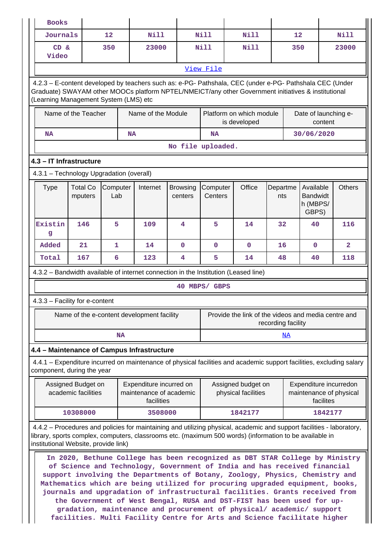| <b>Books</b>                             |                                           |                 |                                                                                                                                                                                                                                                                                                                                                                                                                                                                                                                                                                                                                                           |                            |                     |                                           |                    |                                                                |                |
|------------------------------------------|-------------------------------------------|-----------------|-------------------------------------------------------------------------------------------------------------------------------------------------------------------------------------------------------------------------------------------------------------------------------------------------------------------------------------------------------------------------------------------------------------------------------------------------------------------------------------------------------------------------------------------------------------------------------------------------------------------------------------------|----------------------------|---------------------|-------------------------------------------|--------------------|----------------------------------------------------------------|----------------|
| <b>Journals</b>                          |                                           | 12              | Nill                                                                                                                                                                                                                                                                                                                                                                                                                                                                                                                                                                                                                                      |                            | Nill                | N111                                      | 12                 |                                                                | Nill           |
| CD &<br>Video                            |                                           | 350             | 23000                                                                                                                                                                                                                                                                                                                                                                                                                                                                                                                                                                                                                                     |                            | <b>Nill</b>         | <b>Nill</b>                               | 350                |                                                                | 23000          |
|                                          |                                           |                 |                                                                                                                                                                                                                                                                                                                                                                                                                                                                                                                                                                                                                                           |                            | View File           |                                           |                    |                                                                |                |
| (Learning Management System (LMS) etc    |                                           |                 | 4.2.3 - E-content developed by teachers such as: e-PG- Pathshala, CEC (under e-PG- Pathshala CEC (Under<br>Graduate) SWAYAM other MOOCs platform NPTEL/NMEICT/any other Government initiatives & institutional                                                                                                                                                                                                                                                                                                                                                                                                                            |                            |                     |                                           |                    |                                                                |                |
|                                          | Name of the Teacher                       |                 | Name of the Module                                                                                                                                                                                                                                                                                                                                                                                                                                                                                                                                                                                                                        |                            |                     | Platform on which module<br>is developed  |                    | Date of launching e-<br>content                                |                |
| <b>NA</b>                                |                                           |                 | <b>NA</b>                                                                                                                                                                                                                                                                                                                                                                                                                                                                                                                                                                                                                                 |                            | <b>NA</b>           |                                           |                    | 30/06/2020                                                     |                |
|                                          |                                           |                 |                                                                                                                                                                                                                                                                                                                                                                                                                                                                                                                                                                                                                                           |                            | No file uploaded.   |                                           |                    |                                                                |                |
| 4.3 - IT Infrastructure                  |                                           |                 |                                                                                                                                                                                                                                                                                                                                                                                                                                                                                                                                                                                                                                           |                            |                     |                                           |                    |                                                                |                |
| 4.3.1 - Technology Upgradation (overall) |                                           |                 |                                                                                                                                                                                                                                                                                                                                                                                                                                                                                                                                                                                                                                           |                            |                     |                                           |                    |                                                                |                |
| <b>Type</b>                              | <b>Total Co</b><br>mputers                | Computer<br>Lab | Internet                                                                                                                                                                                                                                                                                                                                                                                                                                                                                                                                                                                                                                  | <b>Browsing</b><br>centers | Computer<br>Centers | Office                                    | Departme<br>nts    | Available<br><b>Bandwidt</b><br>h (MBPS/<br>GBPS)              | <b>Others</b>  |
| Existin<br>g                             | 146                                       | 5               | 109                                                                                                                                                                                                                                                                                                                                                                                                                                                                                                                                                                                                                                       | 4                          | 5                   | 14                                        | 32                 | 40                                                             | 116            |
| Added                                    | 21                                        | $\mathbf{1}$    | 14                                                                                                                                                                                                                                                                                                                                                                                                                                                                                                                                                                                                                                        | $\mathbf 0$                | $\mathbf 0$         | $\mathbf 0$                               | 16                 | $\mathbf{0}$                                                   | $\overline{2}$ |
| Total                                    | 167                                       | 6               | 123                                                                                                                                                                                                                                                                                                                                                                                                                                                                                                                                                                                                                                       | 4                          | 5                   | 14                                        | 48                 | 40                                                             | 118            |
|                                          |                                           |                 | 4.3.2 - Bandwidth available of internet connection in the Institution (Leased line)                                                                                                                                                                                                                                                                                                                                                                                                                                                                                                                                                       |                            |                     |                                           |                    |                                                                |                |
|                                          |                                           |                 |                                                                                                                                                                                                                                                                                                                                                                                                                                                                                                                                                                                                                                           |                            | 40 MBPS/ GBPS       |                                           |                    |                                                                |                |
| 4.3.3 - Facility for e-content           |                                           |                 |                                                                                                                                                                                                                                                                                                                                                                                                                                                                                                                                                                                                                                           |                            |                     |                                           |                    |                                                                |                |
|                                          |                                           |                 | Name of the e-content development facility                                                                                                                                                                                                                                                                                                                                                                                                                                                                                                                                                                                                |                            |                     |                                           | recording facility | Provide the link of the videos and media centre and            |                |
|                                          |                                           | <b>NA</b>       |                                                                                                                                                                                                                                                                                                                                                                                                                                                                                                                                                                                                                                           |                            |                     |                                           | <u>NA</u>          |                                                                |                |
|                                          |                                           |                 | 4.4 - Maintenance of Campus Infrastructure                                                                                                                                                                                                                                                                                                                                                                                                                                                                                                                                                                                                |                            |                     |                                           |                    |                                                                |                |
| component, during the year               |                                           |                 | 4.4.1 – Expenditure incurred on maintenance of physical facilities and academic support facilities, excluding salary                                                                                                                                                                                                                                                                                                                                                                                                                                                                                                                      |                            |                     |                                           |                    |                                                                |                |
|                                          | Assigned Budget on<br>academic facilities |                 | Expenditure incurred on<br>maintenance of academic<br>facilities                                                                                                                                                                                                                                                                                                                                                                                                                                                                                                                                                                          |                            |                     | Assigned budget on<br>physical facilities |                    | Expenditure incurredon<br>maintenance of physical<br>facilites |                |
|                                          | 10308000                                  |                 | 3508000                                                                                                                                                                                                                                                                                                                                                                                                                                                                                                                                                                                                                                   |                            |                     | 1842177                                   |                    | 1842177                                                        |                |
| institutional Website, provide link)     |                                           |                 | 4.4.2 - Procedures and policies for maintaining and utilizing physical, academic and support facilities - laboratory,<br>library, sports complex, computers, classrooms etc. (maximum 500 words) (information to be available in                                                                                                                                                                                                                                                                                                                                                                                                          |                            |                     |                                           |                    |                                                                |                |
|                                          |                                           |                 | In 2020, Bethune College has been recognized as DBT STAR College by Ministry<br>of Science and Technology, Government of India and has received financial<br>support involving the Departments of Botany, Zoology, Physics, Chemistry and<br>Mathematics which are being utilized for procuring upgraded equipment, books,<br>journals and upgradation of infrastructural facilities. Grants received from<br>the Government of West Bengal, RUSA and DST-FIST has been used for up-<br>gradation, maintenance and procurement of physical/ academic/ support<br>facilities. Multi Facility Centre for Arts and Science facilitate higher |                            |                     |                                           |                    |                                                                |                |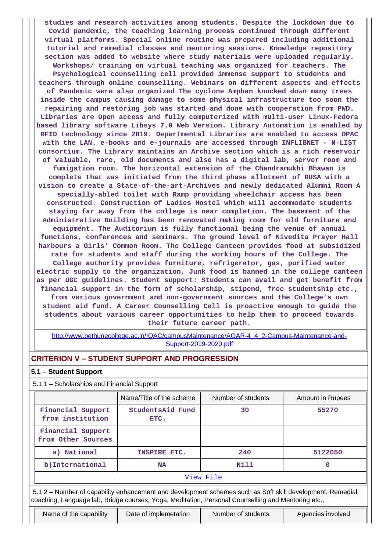**studies and research activities among students. Despite the lockdown due to Covid pandemic, the teaching learning process continued through different virtual platforms. Special online routine was prepared including additional tutorial and remedial classes and mentoring sessions. Knowledge repository section was added to website where study materials were uploaded regularly. Workshops/ training on virtual teaching was organized for teachers. The Psychological counselling cell provided immense support to students and teachers through online counselling. Webinars on different aspects and effects of Pandemic were also organized The cyclone Amphan knocked down many trees inside the campus causing damage to some physical infrastructure too soon the repairing and restoring job was started and done with cooperation from PWD. Libraries are Open access and fully computerized with multi-user Linux-Fedora based library software Libsys 7.0 Web Version. Library Automation is enabled by RFID technology since 2019. Departmental Libraries are enabled to access OPAC with the LAN. e-books and e-journals are accessed through INFLIBNET - N-LIST consortium. The Library maintains an Archive section which is a rich reservoir of valuable, rare, old documents and also has a digital lab, server room and fumigation room. The horizontal extension of the Chandramukhi Bhawan is complete that was initiated from the third phase allotment of RUSA with a vision to create a State-of-the-art-Archives and newly dedicated Alumni Room A specially-abled toilet with Ramp providing wheelchair access has been constructed. Construction of Ladies Hostel which will accommodate students staying far away from the college is near completion. The basement of the Administrative Building has been renovated making room for old furniture and equipment. The Auditorium is fully functional being the venue of annual functions, conferences and seminars. The ground level of Nivedita Prayer Hall harbours a Girls' Common Room. The College Canteen provides food at subsidized rate for students and staff during the working hours of the College. The College authority provides furniture, refrigerator, gas, purified water electric supply to the organization. Junk food is banned in the college canteen as per UGC guidelines. Student support: Students can avail and get benefit from financial support in the form of scholarship, stipend, free studentship etc., from various government and non-government sources and the College's own student aid fund. A Career Counselling Cell is proactive enough to guide the students about various career opportunities to help them to proceed towards their future career path.**

[http://www.bethunecollege.ac.in/IQAC/campusMaintenance/AQAR-4\\_4\\_2-Campus-Maintenance-and-](http://www.bethunecollege.ac.in/IQAC/campusMaintenance/AQAR-4_4_2-Campus-Maintenance-and-Support-2019-2020.pdf)[Support-2019-2020.pdf](http://www.bethunecollege.ac.in/IQAC/campusMaintenance/AQAR-4_4_2-Campus-Maintenance-and-Support-2019-2020.pdf)

## **CRITERION V – STUDENT SUPPORT AND PROGRESSION**

#### **5.1 – Student Support**

5.1.1 – Scholarships and Financial Support

|                                                                                                                                                                                                                 | Name/Title of the scheme | Number of students | <b>Amount in Rupees</b> |  |  |  |  |
|-----------------------------------------------------------------------------------------------------------------------------------------------------------------------------------------------------------------|--------------------------|--------------------|-------------------------|--|--|--|--|
| Financial Support<br>from institution                                                                                                                                                                           | StudentsAid Fund<br>ETC. | 30                 | 55270                   |  |  |  |  |
| Financial Support<br>from Other Sources                                                                                                                                                                         |                          |                    |                         |  |  |  |  |
| a) National                                                                                                                                                                                                     | INSPIRE ETC.             | 240                | 5122050                 |  |  |  |  |
| b) International                                                                                                                                                                                                | NA                       | Nill               | 0                       |  |  |  |  |
|                                                                                                                                                                                                                 |                          | View File          |                         |  |  |  |  |
| 5.1.2 – Number of capability enhancement and development schemes such as Soft skill development, Remedial<br>coaching, Language lab, Bridge courses, Yoga, Meditation, Personal Counselling and Mentoring etc., |                          |                    |                         |  |  |  |  |
| Name of the capability                                                                                                                                                                                          | Date of implemetation    | Number of students | Agencies involved       |  |  |  |  |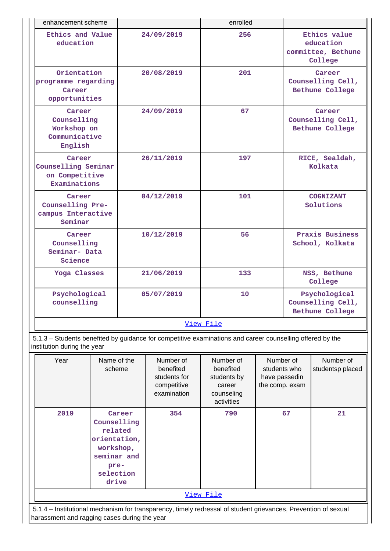| enhancement scheme                                               |            | enrolled |                                                            |  |  |  |  |  |
|------------------------------------------------------------------|------------|----------|------------------------------------------------------------|--|--|--|--|--|
| Ethics and Value<br>education                                    | 24/09/2019 | 256      | Ethics value<br>education<br>committee, Bethune<br>College |  |  |  |  |  |
| Orientation<br>programme regarding<br>Career<br>opportunities    | 20/08/2019 | 201      | Career<br>Counselling Cell,<br>Bethune College             |  |  |  |  |  |
| Career<br>Counselling<br>Workshop on<br>Communicative<br>English | 24/09/2019 | 67       | Career<br>Counselling Cell,<br>Bethune College             |  |  |  |  |  |
| Career<br>Counselling Seminar<br>on Competitive<br>Examinations  | 26/11/2019 | 197      | RICE, Sealdah,<br>Kolkata                                  |  |  |  |  |  |
| Career<br>Counselling Pre-<br>campus Interactive<br>Seminar      | 04/12/2019 | 101      | <b>COGNIZANT</b><br>Solutions                              |  |  |  |  |  |
| Career<br>Counselling<br>Seminar- Data<br>Science                | 10/12/2019 | 56       | Praxis Business<br>School, Kolkata                         |  |  |  |  |  |
| Yoga Classes                                                     | 21/06/2019 | 133      | NSS, Bethune<br>College                                    |  |  |  |  |  |
| Psychological<br>counselling                                     | 05/07/2019 | 10       | Psychological<br>Counselling Cell,<br>Bethune College      |  |  |  |  |  |
|                                                                  | View File  |          |                                                            |  |  |  |  |  |

 5.1.3 – Students benefited by guidance for competitive examinations and career counselling offered by the institution during the year

| Year                                                                                                           | Name of the<br>scheme                                                                                      | Number of<br>benefited<br>students for<br>competitive<br>examination | Number of<br>benefited<br>students by<br>career<br>counseling<br>activities | Number of<br>students who<br>have passedin<br>the comp. exam | Number of<br>studentsp placed |  |  |  |
|----------------------------------------------------------------------------------------------------------------|------------------------------------------------------------------------------------------------------------|----------------------------------------------------------------------|-----------------------------------------------------------------------------|--------------------------------------------------------------|-------------------------------|--|--|--|
| 2019                                                                                                           | Career<br>Counselling<br>related<br>orientation,<br>workshop,<br>seminar and<br>pre-<br>selection<br>drive | 354                                                                  | 790                                                                         | 67                                                           | 21                            |  |  |  |
| <u>View File</u>                                                                                               |                                                                                                            |                                                                      |                                                                             |                                                              |                               |  |  |  |
| 5.1.4 – Institutional mechanism for transparency, timely redressal of student grievances, Prevention of sexual |                                                                                                            |                                                                      |                                                                             |                                                              |                               |  |  |  |

harassment and ragging cases during the year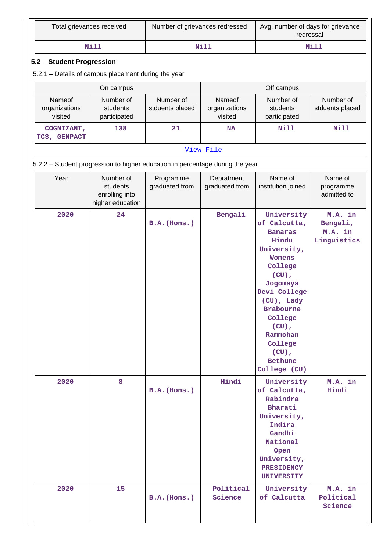| Total grievances received                                                     |                                                             | Number of grievances redressed |                                    | Avg. number of days for grievance<br>redressal                                                                                                                                                                                                                         |                                               |  |  |  |  |
|-------------------------------------------------------------------------------|-------------------------------------------------------------|--------------------------------|------------------------------------|------------------------------------------------------------------------------------------------------------------------------------------------------------------------------------------------------------------------------------------------------------------------|-----------------------------------------------|--|--|--|--|
|                                                                               | <b>Nill</b>                                                 |                                | <b>Nill</b>                        |                                                                                                                                                                                                                                                                        | <b>Nill</b>                                   |  |  |  |  |
| 5.2 - Student Progression                                                     |                                                             |                                |                                    |                                                                                                                                                                                                                                                                        |                                               |  |  |  |  |
| 5.2.1 - Details of campus placement during the year                           |                                                             |                                |                                    |                                                                                                                                                                                                                                                                        |                                               |  |  |  |  |
|                                                                               | On campus                                                   |                                |                                    | Off campus                                                                                                                                                                                                                                                             |                                               |  |  |  |  |
| Nameof<br>organizations<br>visited                                            | Number of<br>students<br>participated                       | Number of<br>stduents placed   | Nameof<br>organizations<br>visited | Number of<br>students<br>participated                                                                                                                                                                                                                                  | Number of<br>stduents placed                  |  |  |  |  |
| COGNIZANT,<br>TCS, GENPACT                                                    | 138                                                         | 21                             | <b>NA</b>                          | Nill                                                                                                                                                                                                                                                                   | <b>Nill</b>                                   |  |  |  |  |
| View File                                                                     |                                                             |                                |                                    |                                                                                                                                                                                                                                                                        |                                               |  |  |  |  |
| 5.2.2 - Student progression to higher education in percentage during the year |                                                             |                                |                                    |                                                                                                                                                                                                                                                                        |                                               |  |  |  |  |
| Year                                                                          | Number of<br>students<br>enrolling into<br>higher education | Programme<br>graduated from    | Depratment<br>graduated from       | Name of<br>institution joined                                                                                                                                                                                                                                          | Name of<br>programme<br>admitted to           |  |  |  |  |
| 2020                                                                          | 24                                                          | B.A.(Hons.)                    | Bengali                            | University<br>of Calcutta,<br><b>Banaras</b><br>Hindu<br>University,<br><b>Womens</b><br>College<br>$(CU)$ ,<br>Jogomaya<br>Devi College<br>(CU), Lady<br><b>Brabourne</b><br>College<br>$(CU)$ ,<br>Rammohan<br>College<br>$(CU)$ ,<br><b>Bethune</b><br>College (CU) | M.A. in<br>Bengali,<br>M.A. in<br>Linguistics |  |  |  |  |
| 2020                                                                          | 8                                                           | $B.A.$ (Hons.)                 | Hindi                              | University<br>of Calcutta,<br>Rabindra<br>Bharati<br>University,<br>Indira<br>Gandhi<br>National<br>Open<br>University,<br><b>PRESIDENCY</b><br><b>UNIVERSITY</b>                                                                                                      | M.A. in<br>Hindi                              |  |  |  |  |
| 2020                                                                          | 15                                                          | $B.A.$ (Hons.)                 | Political<br>Science               | University<br>of Calcutta                                                                                                                                                                                                                                              | M.A. in<br>Political<br>Science               |  |  |  |  |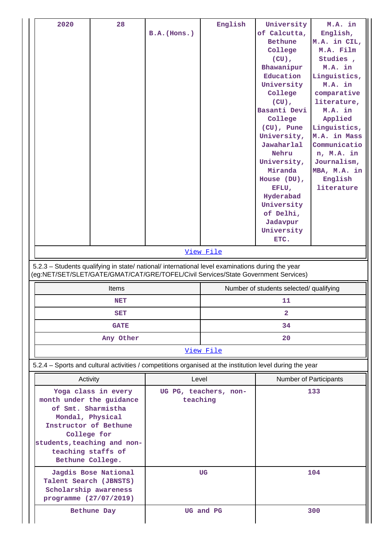| 28<br>2020                                                                                                                                                                                                 | $B.A.$ (Hons.) | English<br>View File                    | University<br>of Calcutta,<br><b>Bethune</b><br>College<br>$(CU)$ ,<br>Bhawanipur<br>Education<br>University<br>College<br>$(CU)$ ,<br>Basanti Devi<br>College<br>(CU), Pune<br>University,<br>Jawaharlal<br>Nehru<br>University,<br>Miranda<br>House (DU),<br>EFLU,<br>Hyderabad<br>University<br>of Delhi,<br>Jadavpur<br>University<br>ETC. | M.A. in<br>English,<br>M.A. in CIL,<br>M.A. Film<br>Studies,<br>M.A. in<br>Linguistics,<br>M.A. in<br>comparative<br>literature,<br>M.A. in<br>Applied<br>Linguistics,<br>M.A. in Mass<br>Communicatio<br>n, M.A. in<br>Journalism,<br>MBA, M.A. in<br>English<br>literature |  |  |
|------------------------------------------------------------------------------------------------------------------------------------------------------------------------------------------------------------|----------------|-----------------------------------------|------------------------------------------------------------------------------------------------------------------------------------------------------------------------------------------------------------------------------------------------------------------------------------------------------------------------------------------------|------------------------------------------------------------------------------------------------------------------------------------------------------------------------------------------------------------------------------------------------------------------------------|--|--|
| 5.2.3 - Students qualifying in state/ national/ international level examinations during the year<br>(eg:NET/SET/SLET/GATE/GMAT/CAT/GRE/TOFEL/Civil Services/State Government Services)                     |                |                                         |                                                                                                                                                                                                                                                                                                                                                |                                                                                                                                                                                                                                                                              |  |  |
| <b>Items</b>                                                                                                                                                                                               |                | Number of students selected/ qualifying |                                                                                                                                                                                                                                                                                                                                                |                                                                                                                                                                                                                                                                              |  |  |
| <b>NET</b>                                                                                                                                                                                                 |                | 11                                      |                                                                                                                                                                                                                                                                                                                                                |                                                                                                                                                                                                                                                                              |  |  |
| SET                                                                                                                                                                                                        |                |                                         |                                                                                                                                                                                                                                                                                                                                                |                                                                                                                                                                                                                                                                              |  |  |
| <b>GATE</b>                                                                                                                                                                                                |                | 34                                      |                                                                                                                                                                                                                                                                                                                                                |                                                                                                                                                                                                                                                                              |  |  |
| Any Other                                                                                                                                                                                                  |                | 20                                      |                                                                                                                                                                                                                                                                                                                                                |                                                                                                                                                                                                                                                                              |  |  |
|                                                                                                                                                                                                            |                | View File                               |                                                                                                                                                                                                                                                                                                                                                |                                                                                                                                                                                                                                                                              |  |  |
| 5.2.4 – Sports and cultural activities / competitions organised at the institution level during the year                                                                                                   |                |                                         |                                                                                                                                                                                                                                                                                                                                                |                                                                                                                                                                                                                                                                              |  |  |
| Activity                                                                                                                                                                                                   | Level          |                                         | <b>Number of Participants</b>                                                                                                                                                                                                                                                                                                                  |                                                                                                                                                                                                                                                                              |  |  |
| Yoga class in every<br>month under the guidance<br>of Smt. Sharmistha<br>Mondal, Physical<br>Instructor of Bethune<br>College for<br>students, teaching and non-<br>teaching staffs of<br>Bethune College. | teaching       | UG PG, teachers, non-                   | 133                                                                                                                                                                                                                                                                                                                                            |                                                                                                                                                                                                                                                                              |  |  |
| Jagdis Bose National<br>Talent Search (JBNSTS)<br>Scholarship awareness<br>programme (27/07/2019)                                                                                                          |                | <b>UG</b>                               |                                                                                                                                                                                                                                                                                                                                                | 104                                                                                                                                                                                                                                                                          |  |  |
| Bethune Day                                                                                                                                                                                                |                | UG and PG                               | 300                                                                                                                                                                                                                                                                                                                                            |                                                                                                                                                                                                                                                                              |  |  |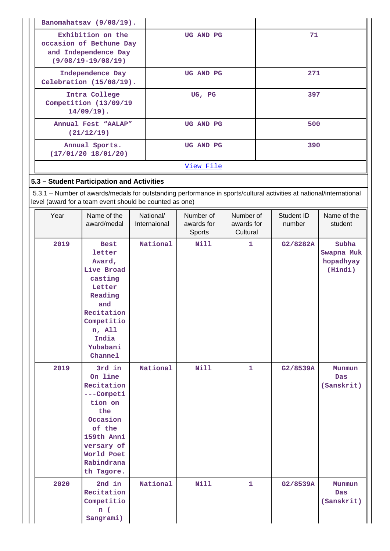|                                                                                                | Banomahatsav (9/08/19).                                                                                                                                                        |  |                           |                                   |                                     |                      |                                             |
|------------------------------------------------------------------------------------------------|--------------------------------------------------------------------------------------------------------------------------------------------------------------------------------|--|---------------------------|-----------------------------------|-------------------------------------|----------------------|---------------------------------------------|
| Exhibition on the<br>occasion of Bethune Day<br>and Independence Day<br>$(9/08/19 - 19/08/19)$ |                                                                                                                                                                                |  | 71<br>UG AND PG           |                                   |                                     |                      |                                             |
|                                                                                                | Independence Day<br>Celebration (15/08/19).                                                                                                                                    |  |                           | UG AND PG                         |                                     | 271                  |                                             |
|                                                                                                | Intra College<br>Competition (13/09/19<br>$14/09/19$ ).                                                                                                                        |  |                           | UG, PG                            |                                     | 397                  |                                             |
|                                                                                                | Annual Fest "AALAP"<br>(21/12/19)                                                                                                                                              |  |                           | UG AND PG                         |                                     | 500                  |                                             |
|                                                                                                | Annual Sports.<br>(17/01/20 18/01/20)                                                                                                                                          |  |                           | UG AND PG                         |                                     | 390                  |                                             |
|                                                                                                |                                                                                                                                                                                |  |                           | View File                         |                                     |                      |                                             |
|                                                                                                | 5.3 - Student Participation and Activities                                                                                                                                     |  |                           |                                   |                                     |                      |                                             |
|                                                                                                | 5.3.1 - Number of awards/medals for outstanding performance in sports/cultural activities at national/international<br>level (award for a team event should be counted as one) |  |                           |                                   |                                     |                      |                                             |
| Year                                                                                           | Name of the<br>award/medal                                                                                                                                                     |  | National/<br>Internaional | Number of<br>awards for<br>Sports | Number of<br>awards for<br>Cultural | Student ID<br>number | Name of the<br>student                      |
| 2019                                                                                           | <b>Best</b><br>letter<br>Award,<br>Live Broad<br>casting<br>Letter<br>Reading<br>and<br>Recitation<br>Competitio<br>n, All<br>India<br>Yubabani<br>Channel                     |  | National                  | Nill                              | 1                                   | G2/8282A             | Subha<br>Swapna Muk<br>hopadhyay<br>(Hindi) |
| 2019                                                                                           | 3rd in<br>On line<br>Recitation<br>---Competi<br>tion on<br>the<br>Occasion<br>of the<br>159th Anni<br>versary of<br>World Poet<br>Rabindrana<br>th Tagore.                    |  | National                  | <b>Nill</b>                       | 1                                   | G2/8539A             | Munmun<br><b>Das</b><br>(Sanskrit)          |
| 2020                                                                                           | 2nd in<br>Recitation<br>Competitio<br>n(<br>Sangrami)                                                                                                                          |  | National                  | <b>Nill</b>                       | 1                                   | G2/8539A             | Munmun<br>Das<br>(Sanskrit)                 |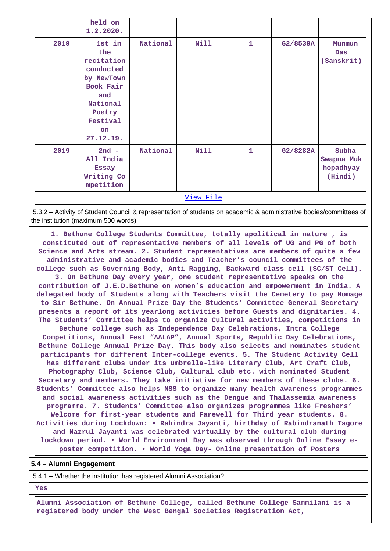|           | held on<br>1.2.2020.                                                                                                                   |          |             |              |          |                                             |  |
|-----------|----------------------------------------------------------------------------------------------------------------------------------------|----------|-------------|--------------|----------|---------------------------------------------|--|
| 2019      | 1st in<br>the<br>recitation<br>conducted<br>by NewTown<br>Book Fair<br>and<br>National<br>Poetry<br>Festival<br><b>on</b><br>27.12.19. | National | <b>Nill</b> | $\mathbf{1}$ | G2/8539A | Munmun<br>Das<br>(Sanskrit)                 |  |
| 2019      | $2nd -$<br>All India<br><b>Essay</b><br>Writing Co<br>mpetition                                                                        | National | <b>Nill</b> | $\mathbf{1}$ | G2/8282A | Subha<br>Swapna Muk<br>hopadhyay<br>(Hindi) |  |
| View File |                                                                                                                                        |          |             |              |          |                                             |  |

 5.3.2 – Activity of Student Council & representation of students on academic & administrative bodies/committees of the institution (maximum 500 words)

 **1. Bethune College Students Committee, totally apolitical in nature , is constituted out of representative members of all levels of UG and PG of both Science and Arts stream. 2. Student representatives are members of quite a few administrative and academic bodies and Teacher's council committees of the college such as Governing Body, Anti Ragging, Backward class cell (SC/ST Cell). 3. On Bethune Day every year, one student representative speaks on the contribution of J.E.D.Bethune on women's education and empowerment in India. A delegated body of Students along with Teachers visit the Cemetery to pay Homage to Sir Bethune. On Annual Prize Day the Students' Committee General Secretary presents a report of its yearlong activities before Guests and dignitaries. 4. The Students' Committee helps to organize Cultural activities, competitions in Bethune college such as Independence Day Celebrations, Intra College Competitions, Annual Fest "AALAP", Annual Sports, Republic Day Celebrations, Bethune College Annual Prize Day. This body also selects and nominates student participants for different Inter-college events. 5. The Student Activity Cell has different clubs under its umbrella-like Literary Club, Art Craft Club, Photography Club, Science Club, Cultural club etc. with nominated Student Secretary and members. They take initiative for new members of these clubs. 6. Students' Committee also helps NSS to organize many health awareness programmes and social awareness activities such as the Dengue and Thalassemia awareness programme. 7. Students' Committee also organizes programmes like Freshers' Welcome for first-year students and Farewell for Third year students. 8. Activities during Lockdown: • Rabindra Jayanti, birthday of Rabindranath Tagore and Nazrul Jayanti was celebrated virtually by the cultural club during lockdown period. • World Environment Day was observed through Online Essay eposter competition. • World Yoga Day- Online presentation of Posters**

#### **5.4 – Alumni Engagement**

5.4.1 – Whether the institution has registered Alumni Association?

#### **Yes**

 **Alumni Association of Bethune College, called Bethune College Sammilani is a registered body under the West Bengal Societies Registration Act,**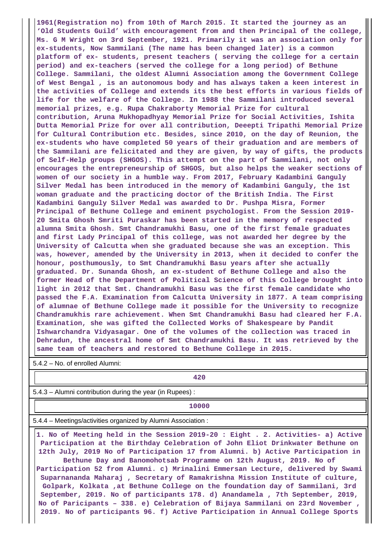**1961(Registration no) from 10th of March 2015. It started the journey as an 'Old Students Guild' with encouragement from and then Principal of the college, Ms. G M Wright on 3rd September, 1921. Primarily it was an association only for ex-students, Now Sammilani (The name has been changed later) is a common platform of ex- students, present teachers ( serving the college for a certain period) and ex-teachers (served the college for a long period) of Bethune College. Sammilani, the oldest Alumni Association among the Government College of West Bengal , is an autonomous body and has always taken a keen interest in the activities of College and extends its the best efforts in various fields of life for the welfare of the College. In 1988 the Sammilani introduced several memorial prizes, e.g. Rupa Chakraborty Memorial Prize for cultural contribution, Aruna Mukhopadhyay Memorial Prize for Social Activities, Ishita Dutta Memorial Prize for over all contribution, Deeepti Tripathi Memorial Prize for Cultural Contribution etc. Besides, since 2010, on the day of Reunion, the ex-students who have completed 50 years of their graduation and are members of the Sammilani are felicitated and they are given, by way of gifts, the products of Self-Help groups (SHGOS). This attempt on the part of Sammilani, not only encourages the entrepreneurship of SHGOS, but also helps the weaker sections of women of our society in a humble way. From 2017, February Kadambini Ganguly Silver Medal has been introduced in the memory of Kadambini Ganguly, the 1st woman graduate and the practicing doctor of the British India. The First Kadambini Ganguly Silver Medal was awarded to Dr. Pushpa Misra, Former Principal of Bethune College and eminent psychologist. From the Session 2019- 20 Smita Ghosh Smriti Puraskar has been started in the memory of respected alumna Smita Ghosh. Smt Chandramukhi Basu, one of the first female graduates and first Lady Principal of this college, was not awarded her degree by the University of Calcutta when she graduated because she was an exception. This was, however, amended by the University in 2013, when it decided to confer the honour, posthumously, to Smt Chandramukhi Basu years after she actually graduated. Dr. Sunanda Ghosh, an ex-student of Bethune College and also the former Head of the Department of Political Science of this College brought into light in 2012 that Smt. Chandramukhi Basu was the first female candidate who passed the F.A. Examination from Calcutta University in 1877. A team comprising of alumnae of Bethune College made it possible for the University to recognize Chandramukhis rare achievement. When Smt Chandramukhi Basu had cleared her F.A. Examination, she was gifted the Collected Works of Shakespeare by Pandit Ishwarchandra Vidyasagar. One of the volumes of the collection was traced in Dehradun, the ancestral home of Smt Chandramukhi Basu. It was retrieved by the same team of teachers and restored to Bethune College in 2015.**

5.4.2 – No. of enrolled Alumni:

**420**

5.4.3 – Alumni contribution during the year (in Rupees) :

**10000**

5.4.4 – Meetings/activities organized by Alumni Association :

 **1. No of Meeting held in the Session 2019-20 : Eight . 2. Activities- a) Active Participation at the Birthday Celebration of John Eliot Drinkwater Bethune on 12th July, 2019 No of Participation 17 from Alumni. b) Active Participation in Bethune Day and Banomohotsab Programme on 12th August, 2019. No of Participation 52 from Alumni. c) Mrinalini Emmersan Lecture, delivered by Swami Suparnananda Maharaj , Secretary of Ramakrishna Mission Institute of culture, Golpark, Kolkata ,at Bethune College on the foundation day of Sammilani, 3rd September, 2019. No of participants 178. d) Anandamela , 7th September, 2019, No of Paricipants – 338. e) Celebration of Bijaya Sammilani on 23rd November , 2019. No of participants 96. f) Active Participation in Annual College Sports**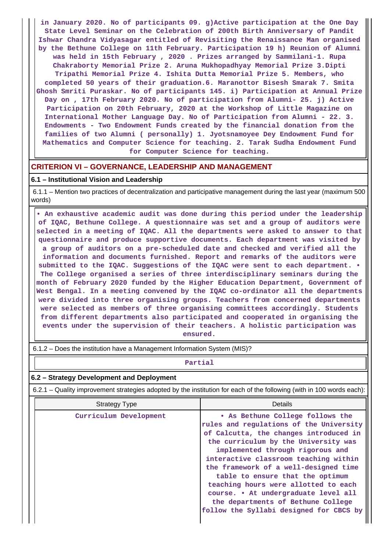**in January 2020. No of participants 09. g)Active participation at the One Day State Level Seminar on the Celebration of 200th Birth Anniversary of Pandit Ishwar Chandra Vidyasagar entitled of Revisiting the Renaissance Man organised by the Bethune College on 11th February. Participation 19 h) Reunion of Alumni was held in 15th February , 2020 . Prizes arranged by Sammilani-1. Rupa Chakraborty Memorial Prize 2. Aruna Mukhopadhyay Memorial Prize 3.Dipti Tripathi Memorial Prize 4. Ishita Dutta Memorial Prize 5. Members, who completed 50 years of their graduation.6. Maranottor Bisesh Smarak 7. Smita Ghosh Smriti Puraskar. No of participants 145. i) Participation at Annual Prize Day on , 17th February 2020. No of participation from Alumni- 25. j) Active Participation on 20th February, 2020 at the Workshop of Little Magazine on International Mother Language Day. No of Participation from Alumni - 22. 3. Endowments - Two Endowment Funds created by the financial donation from the families of two Alumni ( personally) 1. Jyotsnamoyee Dey Endowment Fund for Mathematics and Computer Science for teaching. 2. Tarak Sudha Endowment Fund for Computer Science for teaching.**

#### **CRITERION VI – GOVERNANCE, LEADERSHIP AND MANAGEMENT**

#### **6.1 – Institutional Vision and Leadership**

 6.1.1 – Mention two practices of decentralization and participative management during the last year (maximum 500 words)

 **• An exhaustive academic audit was done during this period under the leadership of IQAC, Bethune College. A questionnaire was set and a group of auditors were selected in a meeting of IQAC. All the departments were asked to answer to that questionnaire and produce supportive documents. Each department was visited by a group of auditors on a pre-scheduled date and checked and verified all the information and documents furnished. Report and remarks of the auditors were submitted to the IQAC. Suggestions of the IQAC were sent to each department. • The College organised a series of three interdisciplinary seminars during the month of February 2020 funded by the Higher Education Department, Government of West Bengal. In a meeting convened by the IQAC co-ordinator all the departments were divided into three organising groups. Teachers from concerned departments were selected as members of three organising committees accordingly. Students from different departments also participated and cooperated in organising the events under the supervision of their teachers. A holistic participation was ensured.**

6.1.2 – Does the institution have a Management Information System (MIS)?

## **Partial**

#### **6.2 – Strategy Development and Deployment**

6.2.1 – Quality improvement strategies adopted by the institution for each of the following (with in 100 words each):

| <b>Strategy Type</b>   | Details                                                                                                                                                                                                                                                                                                                                                                                                                                                                                  |
|------------------------|------------------------------------------------------------------------------------------------------------------------------------------------------------------------------------------------------------------------------------------------------------------------------------------------------------------------------------------------------------------------------------------------------------------------------------------------------------------------------------------|
| Curriculum Development | . As Bethune College follows the<br>rules and regulations of the University<br>of Calcutta, the changes introduced in<br>the curriculum by the University was<br>implemented through rigorous and<br>interactive classroom teaching within<br>the framework of a well-designed time<br>table to ensure that the optimum<br>teaching hours were allotted to each<br>course. • At undergraduate level all<br>the departments of Bethune College<br>follow the Syllabi designed for CBCS by |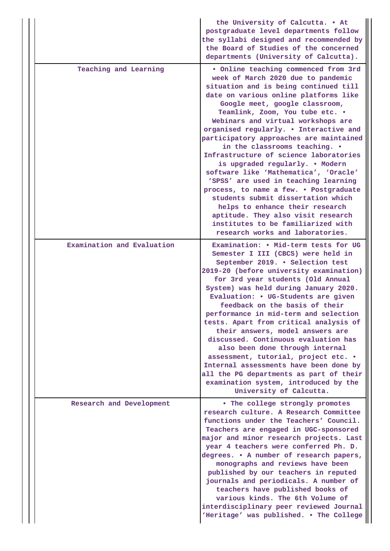|                            | the University of Calcutta. . At<br>postgraduate level departments follow<br>the syllabi designed and recommended by<br>the Board of Studies of the concerned<br>departments (University of Calcutta).                                                                                                                                                                                                                                                                                                                                                                                                                                                                                                                                                                                         |
|----------------------------|------------------------------------------------------------------------------------------------------------------------------------------------------------------------------------------------------------------------------------------------------------------------------------------------------------------------------------------------------------------------------------------------------------------------------------------------------------------------------------------------------------------------------------------------------------------------------------------------------------------------------------------------------------------------------------------------------------------------------------------------------------------------------------------------|
| Teaching and Learning      | . Online teaching commenced from 3rd<br>week of March 2020 due to pandemic<br>situation and is being continued till<br>date on various online platforms like<br>Google meet, google classroom,<br>Teamlink, Zoom, You tube etc. .<br>Webinars and virtual workshops are<br>organised regularly. . Interactive and<br>participatory approaches are maintained<br>in the classrooms teaching. .<br>Infrastructure of science laboratories<br>is upgraded regularly. . Modern<br>software like 'Mathematica', 'Oracle'<br>'SPSS' are used in teaching learning<br>process, to name a few. . Postgraduate<br>students submit dissertation which<br>helps to enhance their research<br>aptitude. They also visit research<br>institutes to be familiarized with<br>research works and laboratories. |
| Examination and Evaluation | Examination: . Mid-term tests for UG<br>Semester I III (CBCS) were held in<br>September 2019. . Selection test<br>2019-20 (before university examination)<br>for 3rd year students (Old Annual<br>System) was held during January 2020.<br>Evaluation: • UG-Students are given<br>feedback on the basis of their<br>performance in mid-term and selection<br>tests. Apart from critical analysis of<br>their answers, model answers are<br>discussed. Continuous evaluation has<br>also been done through internal<br>assessment, tutorial, project etc. .<br>Internal assessments have been done by<br>all the PG departments as part of their<br>examination system, introduced by the<br>University of Calcutta.                                                                            |
| Research and Development   | . The college strongly promotes<br>research culture. A Research Committee<br>functions under the Teachers' Council.<br>Teachers are engaged in UGC-sponsored<br>major and minor research projects. Last<br>year 4 teachers were conferred Ph. D.<br>degrees. • A number of research papers,<br>monographs and reviews have been<br>published by our teachers in reputed<br>journals and periodicals. A number of<br>teachers have published books of<br>various kinds. The 6th Volume of<br>interdisciplinary peer reviewed Journal<br>'Heritage' was published. . The College                                                                                                                                                                                                                 |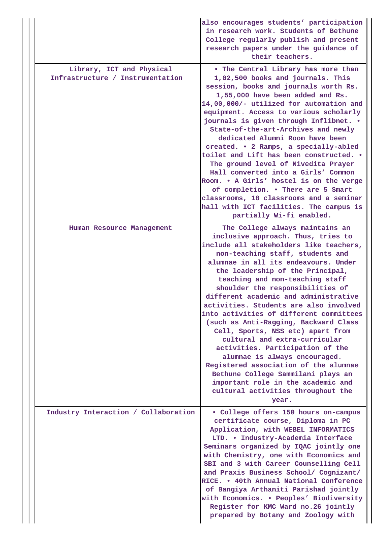|                                                               | also encourages students' participation<br>in research work. Students of Bethune<br>College regularly publish and present<br>research papers under the guidance of<br>their teachers.                                                                                                                                                                                                                                                                                                                                                                                                                                                                                                                                                                                                         |
|---------------------------------------------------------------|-----------------------------------------------------------------------------------------------------------------------------------------------------------------------------------------------------------------------------------------------------------------------------------------------------------------------------------------------------------------------------------------------------------------------------------------------------------------------------------------------------------------------------------------------------------------------------------------------------------------------------------------------------------------------------------------------------------------------------------------------------------------------------------------------|
| Library, ICT and Physical<br>Infrastructure / Instrumentation | . The Central Library has more than<br>1,02,500 books and journals. This<br>session, books and journals worth Rs.<br>1,55,000 have been added and Rs.<br>14,00,000/- utilized for automation and<br>equipment. Access to various scholarly<br>journals is given through Inflibnet. .<br>State-of-the-art-Archives and newly<br>dedicated Alumni Room have been<br>created. • 2 Ramps, a specially-abled<br>toilet and Lift has been constructed. .<br>The ground level of Nivedita Prayer<br>Hall converted into a Girls' Common<br>Room. . A Girls' hostel is on the verge<br>of completion. . There are 5 Smart<br>classrooms, 18 classrooms and a seminar<br>hall with ICT facilities. The campus is<br>partially Wi-fi enabled.                                                           |
| Human Resource Management                                     | The College always maintains an<br>inclusive approach. Thus, tries to<br>include all stakeholders like teachers,<br>non-teaching staff, students and<br>alumnae in all its endeavours. Under<br>the leadership of the Principal,<br>teaching and non-teaching staff<br>shoulder the responsibilities of<br>different academic and administrative<br>activities. Students are also involved<br>into activities of different committees<br>(such as Anti-Ragging, Backward Class<br>Cell, Sports, NSS etc) apart from<br>cultural and extra-curricular<br>activities. Participation of the<br>alumnae is always encouraged.<br>Registered association of the alumnae<br>Bethune College Sammilani plays an<br>important role in the academic and<br>cultural activities throughout the<br>year. |
| Industry Interaction / Collaboration                          | • College offers 150 hours on-campus<br>certificate course, Diploma in PC<br>Application, with WEBEL INFORMATICS<br>LTD. . Industry-Academia Interface<br>Seminars organized by IQAC jointly one<br>with Chemistry, one with Economics and<br>SBI and 3 with Career Counselling Cell<br>and Praxis Business School/ Cognizant/<br>RICE. . 40th Annual National Conference<br>of Bangiya Arthaniti Parishad jointly<br>with Economics. . Peoples' Biodiversity<br>Register for KMC Ward no.26 jointly<br>prepared by Botany and Zoology with                                                                                                                                                                                                                                                   |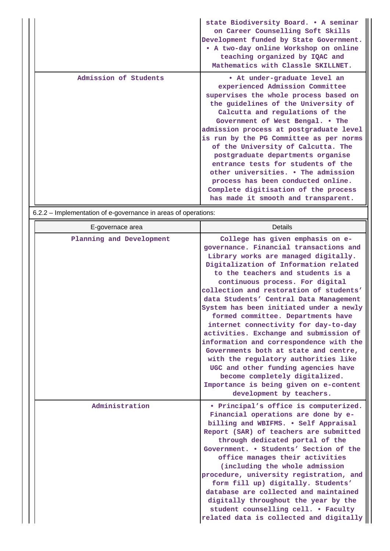|                       | state Biodiversity Board. . A seminar<br>on Career Counselling Soft Skills<br>Development funded by State Government.<br>• A two-day online Workshop on online<br>teaching organized by IQAC and<br>Mathematics with Classle SKILLNET.                                                                                                                                                                                                                                                                                                                                                    |
|-----------------------|-------------------------------------------------------------------------------------------------------------------------------------------------------------------------------------------------------------------------------------------------------------------------------------------------------------------------------------------------------------------------------------------------------------------------------------------------------------------------------------------------------------------------------------------------------------------------------------------|
| Admission of Students | • At under-graduate level an<br>experienced Admission Committee<br>supervises the whole process based on<br>the guidelines of the University of<br>Calcutta and regulations of the<br>Government of West Bengal. . The<br>admission process at postgraduate level<br>is run by the PG Committee as per norms<br>of the University of Calcutta. The<br>postgraduate departments organise<br>entrance tests for students of the<br>other universities. • The admission<br>process has been conducted online.<br>Complete digitisation of the process<br>has made it smooth and transparent. |

6.2.2 – Implementation of e-governance in areas of operations:

| E-governace area         | <b>Details</b>                                                                                                                                                                                                                                                                                                                                                                                                                                                                                                                                                                                                                                                                                                                                                         |
|--------------------------|------------------------------------------------------------------------------------------------------------------------------------------------------------------------------------------------------------------------------------------------------------------------------------------------------------------------------------------------------------------------------------------------------------------------------------------------------------------------------------------------------------------------------------------------------------------------------------------------------------------------------------------------------------------------------------------------------------------------------------------------------------------------|
| Planning and Development | College has given emphasis on e-<br>governance. Financial transactions and<br>Library works are managed digitally.<br>Digitalization of Information related<br>to the teachers and students is a<br>continuous process. For digital<br>collection and restoration of students'<br>data Students' Central Data Management<br>System has been initiated under a newly<br>formed committee. Departments have<br>internet connectivity for day-to-day<br>activities. Exchange and submission of<br>information and correspondence with the<br>Governments both at state and centre,<br>with the regulatory authorities like<br>UGC and other funding agencies have<br>become completely digitalized.<br>Importance is being given on e-content<br>development by teachers. |
| Administration           | • Principal's office is computerized.<br>Financial operations are done by e-<br>billing and WBIFMS. . Self Appraisal<br>Report (SAR) of teachers are submitted<br>through dedicated portal of the<br>Government. . Students' Section of the<br>office manages their activities<br>(including the whole admission<br>procedure, university registration, and<br>form fill up) digitally. Students'<br>database are collected and maintained<br>digitally throughout the year by the<br>student counselling cell. . Faculty<br>related data is collected and digitally                                                                                                                                                                                                   |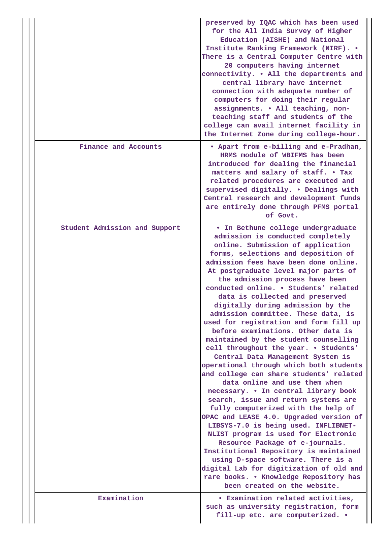|                               | preserved by IQAC which has been used<br>for the All India Survey of Higher<br>Education (AISHE) and National<br>Institute Ranking Framework (NIRF). .<br>There is a Central Computer Centre with<br>20 computers having internet<br>connectivity. . All the departments and<br>central library have internet<br>connection with adequate number of<br>computers for doing their regular<br>assignments. . All teaching, non-<br>teaching staff and students of the<br>college can avail internet facility in<br>the Internet Zone during college-hour.                                                                                                                                                                                                                                                                                                                                                                                                                                                                                                                                                                                                                                                                                                 |
|-------------------------------|---------------------------------------------------------------------------------------------------------------------------------------------------------------------------------------------------------------------------------------------------------------------------------------------------------------------------------------------------------------------------------------------------------------------------------------------------------------------------------------------------------------------------------------------------------------------------------------------------------------------------------------------------------------------------------------------------------------------------------------------------------------------------------------------------------------------------------------------------------------------------------------------------------------------------------------------------------------------------------------------------------------------------------------------------------------------------------------------------------------------------------------------------------------------------------------------------------------------------------------------------------|
| Finance and Accounts          | . Apart from e-billing and e-Pradhan,<br>HRMS module of WBIFMS has been<br>introduced for dealing the financial<br>matters and salary of staff. . Tax<br>related procedures are executed and<br>supervised digitally. . Dealings with<br>Central research and development funds<br>are entirely done through PFMS portal<br>of Govt.                                                                                                                                                                                                                                                                                                                                                                                                                                                                                                                                                                                                                                                                                                                                                                                                                                                                                                                    |
| Student Admission and Support | . In Bethune college undergraduate<br>admission is conducted completely<br>online. Submission of application<br>forms, selections and deposition of<br>admission fees have been done online.<br>At postgraduate level major parts of<br>the admission process have been<br>conducted online. . Students' related<br>data is collected and preserved<br>digitally during admission by the<br>admission committee. These data, is<br>used for registration and form fill up<br>before examinations. Other data is<br>maintained by the student counselling<br>cell throughout the year. . Students'<br>Central Data Management System is<br>operational through which both students<br>and college can share students' related<br>data online and use them when<br>necessary. • In central library book<br>search, issue and return systems are<br>fully computerized with the help of<br>OPAC and LEASE 4.0. Upgraded version of<br>LIBSYS-7.0 is being used. INFLIBNET-<br>NLIST program is used for Electronic<br>Resource Package of e-journals.<br>Institutional Repository is maintained<br>using D-space software. There is a<br>digital Lab for digitization of old and<br>rare books. . Knowledge Repository has<br>been created on the website. |
| Examination                   | <b>• Examination related activities,</b><br>such as university registration, form<br>fill-up etc. are computerized. .                                                                                                                                                                                                                                                                                                                                                                                                                                                                                                                                                                                                                                                                                                                                                                                                                                                                                                                                                                                                                                                                                                                                   |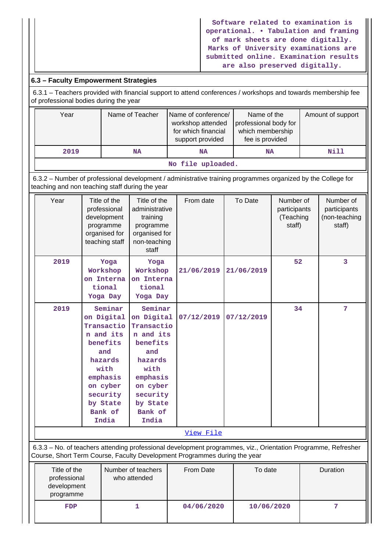**Software related to examination is operational. • Tabulation and framing of mark sheets are done digitally. Marks of University examinations are submitted online. Examination results are also preserved digitally.**

## **6.3 – Faculty Empowerment Strategies**

 6.3.1 – Teachers provided with financial support to attend conferences / workshops and towards membership fee of professional bodies during the year

| Year                               | Name of Teacher | Name of conference/<br>workshop attended<br>for which financial<br>support provided | Name of the<br>professional body for<br>which membership<br>fee is provided | Amount of support |  |  |  |
|------------------------------------|-----------------|-------------------------------------------------------------------------------------|-----------------------------------------------------------------------------|-------------------|--|--|--|
| 2019                               | NA              | <b>NA</b>                                                                           | <b>NA</b>                                                                   | Nill              |  |  |  |
| المتمالك والمتعارض والملائك المتعد |                 |                                                                                     |                                                                             |                   |  |  |  |

**No file uploaded.**

 6.3.2 – Number of professional development / administrative training programmes organized by the College for teaching and non teaching staff during the year

| Year                                                     | Title of the<br>professional<br>development<br>programme<br>organised for<br>teaching staff                                                                | Title of the<br>administrative<br>training<br>programme<br>organised for<br>non-teaching<br>staff                                                          | From date                                                                                                                                                                                  | To Date    | Number of<br>participants<br>(Teaching<br>staff) | Number of<br>participants<br>(non-teaching<br>staff) |
|----------------------------------------------------------|------------------------------------------------------------------------------------------------------------------------------------------------------------|------------------------------------------------------------------------------------------------------------------------------------------------------------|--------------------------------------------------------------------------------------------------------------------------------------------------------------------------------------------|------------|--------------------------------------------------|------------------------------------------------------|
| 2019                                                     | Yoga<br>Workshop<br>on Interna<br>tional<br>Yoga Day                                                                                                       | Yoga<br>Workshop<br>on Interna<br>tional<br>Yoga Day                                                                                                       | 21/06/2019                                                                                                                                                                                 | 21/06/2019 | 52                                               | 3                                                    |
| 2019                                                     | Seminar<br>on Digital<br>Transactio<br>n and its<br>benefits<br>and<br>hazards<br>with<br>emphasis<br>on cyber<br>security<br>by State<br>Bank of<br>India | Seminar<br>on Digital<br>Transactio<br>n and its<br>benefits<br>and<br>hazards<br>with<br>emphasis<br>on cyber<br>security<br>by State<br>Bank of<br>India | 07/12/2019                                                                                                                                                                                 | 07/12/2019 | 34                                               | 7                                                    |
|                                                          |                                                                                                                                                            |                                                                                                                                                            | View File                                                                                                                                                                                  |            |                                                  |                                                      |
|                                                          |                                                                                                                                                            |                                                                                                                                                            | 6.3.3 - No. of teachers attending professional development programmes, viz., Orientation Programme, Refresher<br>Course, Short Term Course, Faculty Development Programmes during the year |            |                                                  |                                                      |
| Title of the<br>professional<br>development<br>programme |                                                                                                                                                            | Number of teachers<br>who attended                                                                                                                         | From Date                                                                                                                                                                                  | To date    |                                                  | Duration                                             |

 **FDP 1 04/06/2020 10/06/2020 7**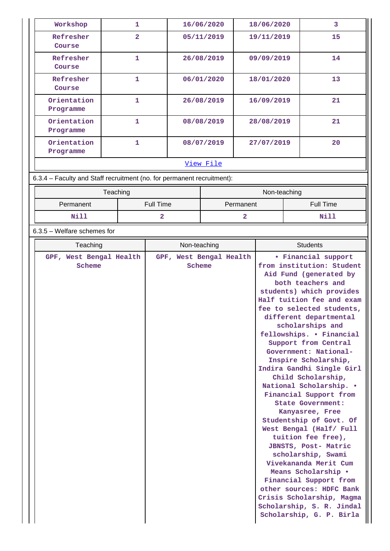| Workshop                                                        | 1              | 16/06/2020 | 18/06/2020 | 3  |  |  |  |
|-----------------------------------------------------------------|----------------|------------|------------|----|--|--|--|
| Refresher<br>Course                                             | $\overline{2}$ | 05/11/2019 | 19/11/2019 | 15 |  |  |  |
| Refresher<br>Course                                             | 1              | 26/08/2019 | 09/09/2019 | 14 |  |  |  |
| Refresher<br>Course                                             | 1              | 06/01/2020 | 18/01/2020 | 13 |  |  |  |
| Orientation<br>Programme                                        | 1              | 26/08/2019 | 16/09/2019 | 21 |  |  |  |
| Orientation<br>Programme                                        | 1              | 08/08/2019 | 28/08/2019 | 21 |  |  |  |
| Orientation<br>Programme                                        | 1              | 08/07/2019 | 27/07/2019 | 20 |  |  |  |
|                                                                 | View File      |            |            |    |  |  |  |
| C 2.4 Fooutu and Ctaff roomitment (no fer permanent roomitment) |                |            |            |    |  |  |  |

6.3.4 – Faculty and Staff recruitment (no. for permanent recruitment):

|                               | Teaching | Non-teaching |                  |  |
|-------------------------------|----------|--------------|------------------|--|
| <b>Full Time</b><br>Permanent |          | Permanent    | <b>Full Time</b> |  |
| Nill                          |          |              | Nill             |  |

## 6.3.5 – Welfare schemes for

| Teaching                          | Non-teaching                      | <b>Students</b>                                                                                                                                                                                                                                                                                                                                                                                                                                                                                                                                                                                                                                                                                                                                                                                                |
|-----------------------------------|-----------------------------------|----------------------------------------------------------------------------------------------------------------------------------------------------------------------------------------------------------------------------------------------------------------------------------------------------------------------------------------------------------------------------------------------------------------------------------------------------------------------------------------------------------------------------------------------------------------------------------------------------------------------------------------------------------------------------------------------------------------------------------------------------------------------------------------------------------------|
| GPF, West Bengal Health<br>Scheme | GPF, West Bengal Health<br>Scheme | • Financial support<br>from institution: Student<br>Aid Fund (generated by<br>both teachers and<br>students) which provides<br>Half tuition fee and exam<br>fee to selected students,<br>different departmental<br>scholarships and<br>fellowships. . Financial<br>Support from Central<br>Government: National-<br>Inspire Scholarship,<br>Indira Gandhi Single Girl<br>Child Scholarship,<br>National Scholarship. .<br>Financial Support from<br>State Government:<br>Kanyasree, Free<br>Studentship of Govt. Of<br>West Bengal (Half/ Full<br>tuition fee free),<br>JBNSTS, Post- Matric<br>scholarship, Swami<br>Vivekananda Merit Cum<br>Means Scholarship .<br>Financial Support from<br>other sources: HDFC Bank<br>Crisis Scholarship, Magma<br>Scholarship, S. R. Jindal<br>Scholarship, G. P. Birla |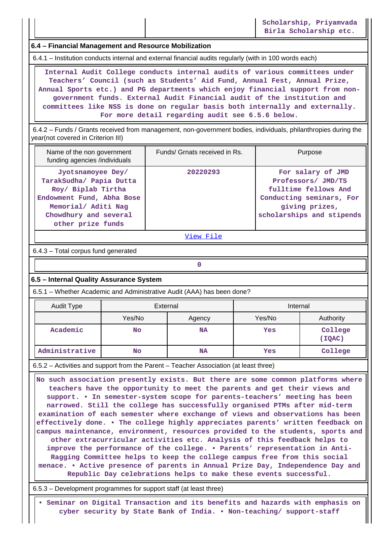**6.4 – Financial Management and Resource Mobilization**

6.4.1 – Institution conducts internal and external financial audits regularly (with in 100 words each)

 **Internal Audit College conducts internal audits of various committees under Teachers' Council (such as Students' Aid Fund, Annual Fest, Annual Prize, Annual Sports etc.) and PG departments which enjoy financial support from nongovernment funds. External Audit Financial audit of the institution and committees like NSS is done on regular basis both internally and externally. For more detail regarding audit see 6.5.6 below.**

 6.4.2 – Funds / Grants received from management, non-government bodies, individuals, philanthropies during the year(not covered in Criterion III)

| Name of the non government<br>funding agencies /individuals                                                                                                          | Funds/ Grnats received in Rs. | Purpose                                                                                                                                    |
|----------------------------------------------------------------------------------------------------------------------------------------------------------------------|-------------------------------|--------------------------------------------------------------------------------------------------------------------------------------------|
| Jyotsnamoyee Dey/<br>TarakSudha/ Papia Dutta<br>Roy/ Biplab Tirtha<br>Endowment Fund, Abha Bose<br>Memorial/ Aditi Nag<br>Chowdhury and several<br>other prize funds | 20220293                      | For salary of JMD<br>Professors/ JMD/TS<br>fulltime fellows And<br>Conducting seminars, For<br>giving prizes,<br>scholarships and stipends |

[View File](https://assessmentonline.naac.gov.in/public/Postacc/Funds_or_Grants/10676_Funds_or_Grants_1622060327.xlsx)

6.4.3 – Total corpus fund generated

## **6.5 – Internal Quality Assurance System**

**0**

6.5.1 – Whether Academic and Administrative Audit (AAA) has been done?

| Audit Type     | External  |           | Internal |                   |  |
|----------------|-----------|-----------|----------|-------------------|--|
|                | Yes/No    | Agency    | Yes/No   | Authority         |  |
| Academic       | <b>No</b> | <b>NA</b> | Yes      | College<br>(IOAC) |  |
| Administrative | No        | <b>NA</b> | Yes      | College           |  |

6.5.2 – Activities and support from the Parent – Teacher Association (at least three)

 **No such association presently exists. But there are some common platforms where teachers have the opportunity to meet the parents and get their views and support. • In semester-system scope for parents-teachers' meeting has been narrowed. Still the college has successfully organised PTMs after mid-term examination of each semester where exchange of views and observations has been effectively done. • The college highly appreciates parents' written feedback on campus maintenance, environment, resources provided to the students, sports and other extracurricular activities etc. Analysis of this feedback helps to improve the performance of the college. • Parents' representation in Anti-Ragging Committee helps to keep the college campus free from this social menace. • Active presence of parents in Annual Prize Day, Independence Day and Republic Day celebrations helps to make these events successful.**

6.5.3 – Development programmes for support staff (at least three)

 **• Seminar on Digital Transaction and its benefits and hazards with emphasis on cyber security by State Bank of India. • Non-teaching/ support-staff**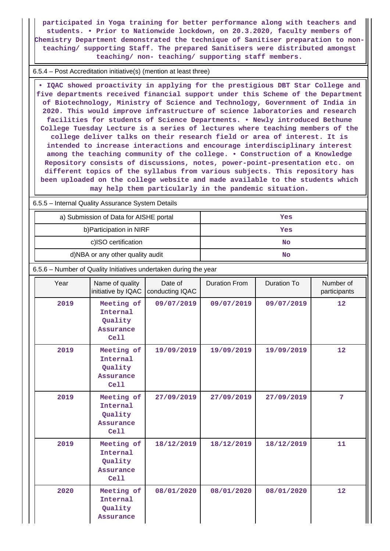**participated in Yoga training for better performance along with teachers and students. • Prior to Nationwide lockdown, on 20.3.2020, faculty members of Chemistry Department demonstrated the technique of Sanitiser preparation to nonteaching/ supporting Staff. The prepared Sanitisers were distributed amongst teaching/ non- teaching/ supporting staff members.**

6.5.4 – Post Accreditation initiative(s) (mention at least three)

 **• IQAC showed proactivity in applying for the prestigious DBT Star College and five departments received financial support under this Scheme of the Department of Biotechnology, Ministry of Science and Technology, Government of India in 2020. This would improve infrastructure of science laboratories and research facilities for students of Science Departments. • Newly introduced Bethune College Tuesday Lecture is a series of lectures where teaching members of the college deliver talks on their research field or area of interest. It is intended to increase interactions and encourage interdisciplinary interest among the teaching community of the college. • Construction of a Knowledge Repository consists of discussions, notes, power-point-presentation etc. on different topics of the syllabus from various subjects. This repository has been uploaded on the college website and made available to the students which may help them particularly in the pandemic situation.**

6.5.5 – Internal Quality Assurance System Details

| a) Submission of Data for AISHE portal | Yes |
|----------------------------------------|-----|
| b) Participation in NIRF               | Yes |
| c)ISO certification                    | No  |
| d)NBA or any other quality audit       | No  |

6.5.6 – Number of Quality Initiatives undertaken during the year

| Year | Name of quality<br>initiative by IQAC                         | Date of<br>conducting IQAC | <b>Duration From</b> | Duration To | Number of<br>participants |
|------|---------------------------------------------------------------|----------------------------|----------------------|-------------|---------------------------|
| 2019 | Meeting of<br>Internal<br>Quality<br><b>Assurance</b><br>Cell | 09/07/2019                 | 09/07/2019           | 09/07/2019  | 12                        |
| 2019 | Meeting of<br>Internal<br>Quality<br><b>Assurance</b><br>Cell | 19/09/2019                 | 19/09/2019           | 19/09/2019  | 12                        |
| 2019 | Meeting of<br>Internal<br>Quality<br>Assurance<br>Cell        | 27/09/2019                 | 27/09/2019           | 27/09/2019  | $\overline{7}$            |
| 2019 | Meeting of<br>Internal<br>Quality<br>Assurance<br>Cell        | 18/12/2019                 | 18/12/2019           | 18/12/2019  | 11                        |
| 2020 | Meeting of<br>Internal<br>Quality<br><b>Assurance</b>         | 08/01/2020                 | 08/01/2020           | 08/01/2020  | 12                        |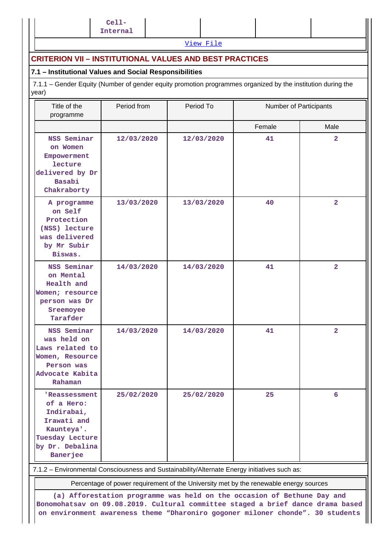[View File](https://assessmentonline.naac.gov.in/public/Postacc/Quality_Initiatives_B/10676_Quality_Initiatives_B_1622060685.xlsx)

## **CRITERION VII – INSTITUTIONAL VALUES AND BEST PRACTICES**

## **7.1 – Institutional Values and Social Responsibilities**

 7.1.1 – Gender Equity (Number of gender equity promotion programmes organized by the institution during the year)

| Title of the<br>programme                                                                                                | Period from | Period To  | Number of Participants                                                                |                |
|--------------------------------------------------------------------------------------------------------------------------|-------------|------------|---------------------------------------------------------------------------------------|----------------|
|                                                                                                                          |             |            | Female                                                                                | Male           |
| NSS Seminar<br>on Women<br>Empowerment<br>lecture<br>delivered by Dr<br>Basabi<br>Chakraborty                            | 12/03/2020  | 12/03/2020 | 41                                                                                    | $\overline{2}$ |
| A programme<br>on Self<br>Protection<br>(NSS) lecture<br>was delivered<br>by Mr Subir<br>Biswas.                         | 13/03/2020  | 13/03/2020 | 40                                                                                    | $\overline{2}$ |
| NSS Seminar<br>on Mental<br>Health and<br>Women; resource<br>person was Dr<br>Sreemoyee<br>Tarafder                      | 14/03/2020  | 14/03/2020 | 41                                                                                    | $\overline{2}$ |
| NSS Seminar<br>was held on<br>Laws related to<br>Women, Resource<br>Person was<br>Advocate Kabita<br>Rahaman             | 14/03/2020  | 14/03/2020 | 41                                                                                    | $\overline{a}$ |
| 'Reassessment<br>of a Hero:<br>Indirabai,<br>Irawati and<br>Kaunteya'.<br>Tuesday Lecture<br>by Dr. Debalina<br>Banerjee | 25/02/2020  | 25/02/2020 | 25                                                                                    | 6              |
| 7.1.2 - Environmental Consciousness and Sustainability/Alternate Energy initiatives such as:                             |             |            |                                                                                       |                |
|                                                                                                                          |             |            | Percentage of power requirement of the University met by the renewable energy sources |                |

**(a) Afforestation programme was held on the occasion of Bethune Day and Bonomohatsav on 09.08.2019. Cultural committee staged a brief dance drama based on environment awareness theme "Dharoniro gogoner miloner chonde". 30 students**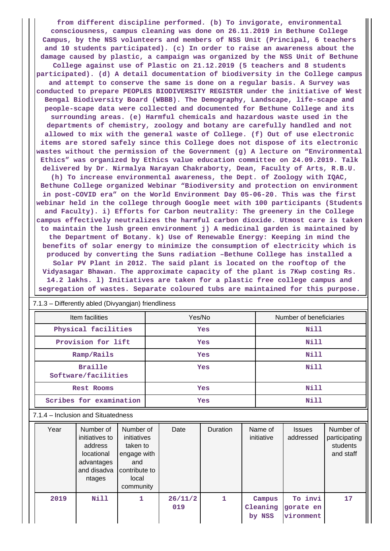**from different discipline performed. (b) To invigorate, environmental consciousness, campus cleaning was done on 26.11.2019 in Bethune College Campus, by the NSS volunteers and members of NSS Unit (Principal, 6 teachers and 10 students participated). (c) In order to raise an awareness about the damage caused by plastic, a campaign was organized by the NSS Unit of Bethune College against use of Plastic on 21.12.2019 (5 teachers and 8 students participated). (d) A detail documentation of biodiversity in the College campus and attempt to conserve the same is done on a regular basis. A Survey was conducted to prepare PEOPLES BIODIVERSITY REGISTER under the initiative of West Bengal Biodiversity Board (WBBB). The Demography, Landscape, life-scape and people-scape data were collected and documented for Bethune College and its surrounding areas. (e) Harmful chemicals and hazardous waste used in the departments of chemistry, zoology and botany are carefully handled and not allowed to mix with the general waste of College. (f) Out of use electronic items are stored safely since this College does not dispose of its electronic wastes without the permission of the Government (g) A lecture on "Environmental Ethics" was organized by Ethics value education committee on 24.09.2019. Talk delivered by Dr. Nirmalya Narayan Chakraborty, Dean, Faculty of Arts, R.B.U. (h) To increase environmental awareness, the Dept. of Zoology with IQAC, Bethune College organized Webinar "Biodiversity and protection on environment in post-COVID era" on the World Environment Day 05-06-20. This was the first webinar held in the college through Google meet with 100 participants (Students and Faculty). i) Efforts for Carbon neutrality: The greenery in the College campus effectively neutralizes the harmful carbon dioxide. Utmost care is taken to maintain the lush green environment j) A medicinal garden is maintained by the Department of Botany. k) Use of Renewable Energy: Keeping in mind the benefits of solar energy to minimize the consumption of electricity which is produced by converting the Suns radiation –Bethune College has installed a Solar PV Plant in 2012. The said plant is located on the rooftop of the Vidyasagar Bhawan. The approximate capacity of the plant is 7Kwp costing Rs. 14.2 lakhs. l) Initiatives are taken for a plastic free college campus and segregation of wastes. Separate coloured tubs are maintained for this purpose.**

| Item facilities                       | Yes/No | Number of beneficiaries |
|---------------------------------------|--------|-------------------------|
| Physical facilities                   | Yes    | Nill                    |
| Provision for lift                    | Yes    | Nill                    |
| Ramp/Rails                            | Yes    | Nill                    |
| <b>Braille</b><br>Software/facilities | Yes    | Nill                    |
| <b>Rest Rooms</b>                     | Yes    | Nill                    |
| Scribes for examination               | Yes    | Nill                    |

7.1.3 – Differently abled (Divyangjan) friendliness

#### 7.1.4 – Inclusion and Situatedness

| Year | Number of<br>initiatives to<br>address<br>locational<br>advantages<br>and disadva<br>ntages | Number of<br>initiatives<br>taken to<br>engage with<br>and<br>contribute to<br>local<br>community | Date           | <b>Duration</b> | Name of<br>initiative        | <b>Issues</b><br>addressed        | Number of<br>participating<br>students<br>and staff |
|------|---------------------------------------------------------------------------------------------|---------------------------------------------------------------------------------------------------|----------------|-----------------|------------------------------|-----------------------------------|-----------------------------------------------------|
| 2019 | Nill                                                                                        |                                                                                                   | 26/11/2<br>019 |                 | Campus<br>Cleaning<br>by NSS | To invi<br>gorate en<br>vironment | 17                                                  |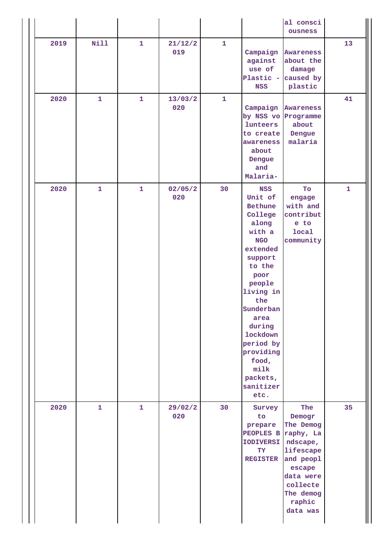|      |              |              |                |              |                                                                                                                                                                                                                                                                                          | al consci<br>ousness                                                                                                                                |              |
|------|--------------|--------------|----------------|--------------|------------------------------------------------------------------------------------------------------------------------------------------------------------------------------------------------------------------------------------------------------------------------------------------|-----------------------------------------------------------------------------------------------------------------------------------------------------|--------------|
| 2019 | <b>Nill</b>  | $\mathbf{1}$ | 21/12/2<br>019 | $\mathbf{1}$ | against<br>use of<br>Plastic -<br><b>NSS</b>                                                                                                                                                                                                                                             | Campaign Awareness<br>about the<br>damage<br>caused by<br>plastic                                                                                   | 13           |
| 2020 | $\mathbf{1}$ | $\mathbf{1}$ | 13/03/2<br>020 | $\mathbf{1}$ | Campaign<br>lunteers<br>to create<br>awareness<br>about<br>Dengue<br>and<br>Malaria-                                                                                                                                                                                                     | Awareness<br>by NSS vo Programme<br>about<br>Dengue<br>malaria                                                                                      | 41           |
| 2020 | $\mathbf{1}$ | $\mathbf{1}$ | 02/05/2<br>020 | 30           | <b>NSS</b><br>Unit of<br><b>Bethune</b><br>College<br>along<br>with a<br><b>NGO</b><br>extended<br>support<br>to the<br>poor<br>people<br>living in<br>the<br>Sunderban<br>area<br>during<br><b>lockdown</b><br>period by<br>providing<br>food,<br>milk<br>packets,<br>sanitizer<br>etc. | To<br>engage<br>with and<br>contribut<br>e to<br><b>local</b><br>community                                                                          | $\mathbf{1}$ |
| 2020 | $\mathbf{1}$ | $\mathbf{1}$ | 29/02/2<br>020 | 30           | Survey<br>to<br>prepare<br>PEOPLES B<br><b>IODIVERSI</b><br>TY<br><b>REGISTER</b>                                                                                                                                                                                                        | The<br>Demogr<br>The Demog<br>raphy, La<br>ndscape,<br>lifescape<br>and peopl<br>escape<br>data were<br>collecte<br>The demog<br>raphic<br>data was | 35           |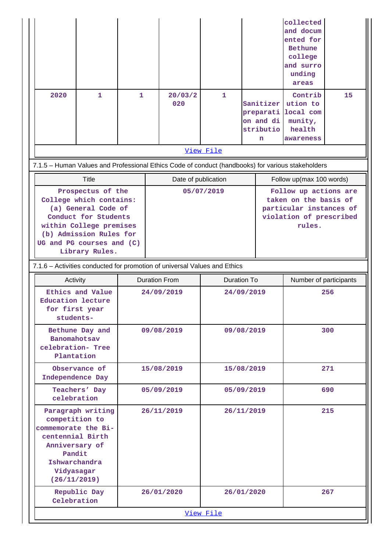|                                                                                                                                                                                                  |                                                                                                                                                           |                      |            |                     |              |                        |                                                       | collected<br>and docum<br>ented for<br><b>Bethune</b><br>college<br>and surro<br>unding<br>areas               |     |
|--------------------------------------------------------------------------------------------------------------------------------------------------------------------------------------------------|-----------------------------------------------------------------------------------------------------------------------------------------------------------|----------------------|------------|---------------------|--------------|------------------------|-------------------------------------------------------|----------------------------------------------------------------------------------------------------------------|-----|
| 2020                                                                                                                                                                                             | $\mathbf{1}$                                                                                                                                              | $\mathbf{1}$         |            | 20/03/2<br>020      | $\mathbf{1}$ |                        | Sanitizer<br>preparati<br>on and di<br>stributio<br>n | Contrib<br>ution to<br>local com<br>munity,<br>health<br>awareness                                             | 15  |
|                                                                                                                                                                                                  |                                                                                                                                                           |                      |            |                     | View File    |                        |                                                       |                                                                                                                |     |
|                                                                                                                                                                                                  | 7.1.5 - Human Values and Professional Ethics Code of conduct (handbooks) for various stakeholders                                                         |                      |            |                     |              |                        |                                                       |                                                                                                                |     |
|                                                                                                                                                                                                  | <b>Title</b>                                                                                                                                              |                      |            | Date of publication |              |                        |                                                       | Follow up(max 100 words)                                                                                       |     |
| Prospectus of the<br>College which contains:<br>(a) General Code of<br>Conduct for Students<br>within College premises<br>(b) Admission Rules for<br>UG and PG courses and (C)<br>Library Rules. |                                                                                                                                                           |                      |            |                     | 05/07/2019   |                        |                                                       | Follow up actions are<br>taken on the basis of<br>particular instances of<br>violation of prescribed<br>rules. |     |
|                                                                                                                                                                                                  | 7.1.6 - Activities conducted for promotion of universal Values and Ethics                                                                                 |                      |            |                     |              |                        |                                                       |                                                                                                                |     |
| Activity                                                                                                                                                                                         |                                                                                                                                                           | <b>Duration From</b> |            | <b>Duration To</b>  |              | Number of participants |                                                       |                                                                                                                |     |
|                                                                                                                                                                                                  |                                                                                                                                                           | 24/09/2019           |            |                     |              |                        |                                                       |                                                                                                                |     |
|                                                                                                                                                                                                  | Ethics and Value<br><b>Education lecture</b><br>for first year<br>students-                                                                               |                      |            |                     | 24/09/2019   |                        |                                                       |                                                                                                                | 256 |
|                                                                                                                                                                                                  | Bethune Day and<br>Banomahotsav<br>celebration- Tree<br>Plantation                                                                                        |                      | 09/08/2019 |                     | 09/08/2019   |                        |                                                       |                                                                                                                | 300 |
|                                                                                                                                                                                                  | Observance of<br>Independence Day                                                                                                                         |                      | 15/08/2019 |                     | 15/08/2019   |                        |                                                       |                                                                                                                | 271 |
|                                                                                                                                                                                                  | Teachers' Day<br>celebration                                                                                                                              |                      | 05/09/2019 |                     | 05/09/2019   |                        |                                                       |                                                                                                                | 690 |
|                                                                                                                                                                                                  | Paragraph writing<br>competition to<br>commemorate the Bi-<br>centennial Birth<br>Anniversary of<br>Pandit<br>Ishwarchandra<br>Vidyasagar<br>(26/11/2019) |                      | 26/11/2019 |                     | 26/11/2019   |                        |                                                       |                                                                                                                | 215 |
|                                                                                                                                                                                                  | Republic Day<br>Celebration                                                                                                                               |                      | 26/01/2020 |                     | 26/01/2020   |                        |                                                       |                                                                                                                | 267 |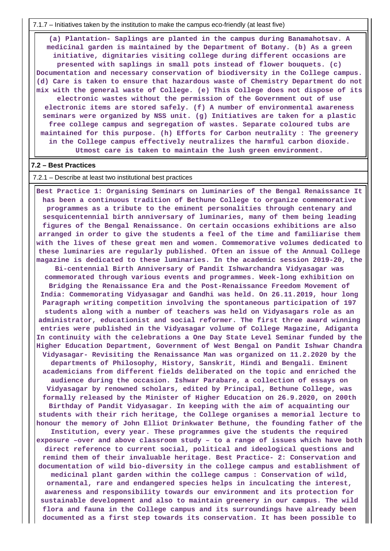7.1.7 – Initiatives taken by the institution to make the campus eco-friendly (at least five)

 **(a) Plantation- Saplings are planted in the campus during Banamahotsav. A medicinal garden is maintained by the Department of Botany. (b) As a green initiative, dignitaries visiting college during different occasions are presented with saplings in small pots instead of flower bouquets. (c) Documentation and necessary conservation of biodiversity in the College campus. (d) Care is taken to ensure that hazardous waste of Chemistry Department do not mix with the general waste of College. (e) This College does not dispose of its electronic wastes without the permission of the Government out of use electronic items are stored safely. (f) A number of environmental awareness seminars were organized by NSS unit. (g) Initiatives are taken for a plastic free college campus and segregation of wastes. Separate coloured tubs are maintained for this purpose. (h) Efforts for Carbon neutrality : The greenery in the College campus effectively neutralizes the harmful carbon dioxide. Utmost care is taken to maintain the lush green environment.**

#### **7.2 – Best Practices**

#### 7.2.1 – Describe at least two institutional best practices

 **Best Practice 1: Organising Seminars on luminaries of the Bengal Renaissance It has been a continuous tradition of Bethune College to organize commemorative programmes as a tribute to the eminent personalities through centenary and sesquicentennial birth anniversary of luminaries, many of them being leading figures of the Bengal Renaissance. On certain occasions exhibitions are also arranged in order to give the students a feel of the time and familiarise them with the lives of these great men and women. Commemorative volumes dedicated to these luminaries are regularly published. Often an issue of the Annual College magazine is dedicated to these luminaries. In the academic session 2019-20, the Bi-centennial Birth Anniversary of Pandit Ishwarchandra Vidyasagar was commemorated through various events and programmes. Week-long exhibition on Bridging the Renaissance Era and the Post-Renaissance Freedom Movement of India: Commemorating Vidyasagar and Gandhi was held. On 26.11.2019, hour long Paragraph writing competition involving the spontaneous participation of 197 students along with a number of teachers was held on Vidyasagars role as an administrator, educationist and social reformer. The first three award winning entries were published in the Vidyasagar volume of College Magazine, Adiganta In continuity with the celebrations a One Day State Level Seminar funded by the Higher Education Department, Government of West Bengal on Pandit Ishwar Chandra Vidyasagar- Revisiting the Renaissance Man was organized on 11.2.2020 by the departments of Philosophy, History, Sanskrit, Hindi and Bengali. Eminent academicians from different fields deliberated on the topic and enriched the audience during the occasion. Ishwar Parabare, a collection of essays on Vidyasagar by renowned scholars, edited by Principal, Bethune College, was formally released by the Minister of Higher Education on 26.9.2020, on 200th Birthday of Pandit Vidyasagar. In keeping with the aim of acquainting our students with their rich heritage, the College organises a memorial lecture to honour the memory of John Elliot Drinkwater Bethune, the founding father of the Institution, every year. These programmes give the students the required exposure –over and above classroom study – to a range of issues which have both direct reference to current social, political and ideological questions and remind them of their invaluable heritage. Best Practice- 2: Conservation and documentation of wild bio-diversity in the college campus and establishment of medicinal plant garden within the college campus : Conservation of wild, ornamental, rare and endangered species helps in inculcating the interest, awareness and responsibility towards our environment and its protection for sustainable development and also to maintain greenery in our campus. The wild flora and fauna in the College campus and its surroundings have already been documented as a first step towards its conservation. It has been possible to**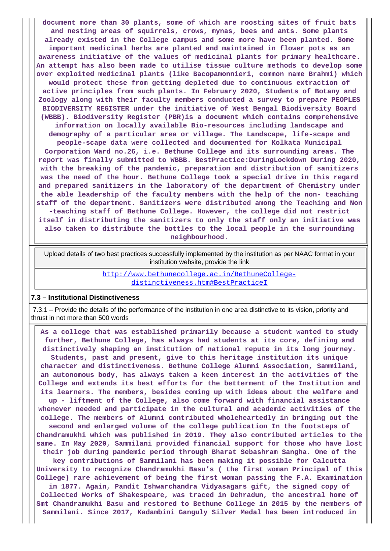**document more than 30 plants, some of which are roosting sites of fruit bats and nesting areas of squirrels, crows, mynas, bees and ants. Some plants already existed in the College campus and some more have been planted. Some important medicinal herbs are planted and maintained in flower pots as an awareness initiative of the values of medicinal plants for primary healthcare. An attempt has also been made to utilise tissue culture methods to develop some over exploited medicinal plants (like Bacopamonnieri, common name Brahmi) which would protect these from getting depleted due to continuous extraction of active principles from such plants. In February 2020, Students of Botany and Zoology along with their faculty members conducted a survey to prepare PEOPLES BIODIVERSITY REGISTER under the initiative of West Bengal Biodiversity Board (WBBB). Biodiversity Register (PBR)is a document which contains comprehensive information on locally available Bio-resources including landscape and demography of a particular area or village. The Landscape, life-scape and people-scape data were collected and documented for Kolkata Municipal Corporation Ward no.26, i.e. Bethune College and its surrounding areas. The report was finally submitted to WBBB. BestPractice:DuringLockdown During 2020, with the breaking of the pandemic, preparation and distribution of sanitizers was the need of the hour. Bethune College took a special drive in this regard and prepared sanitizers in the laboratory of the department of Chemistry under the able leadership of the faculty members with the help of the non- teaching staff of the department. Sanitizers were distributed among the Teaching and Non -teaching staff of Bethune College. However, the college did not restrict itself in distributing the sanitizers to only the staff only an initiative was also taken to distribute the bottles to the local people in the surrounding neighbourhood.**

 Upload details of two best practices successfully implemented by the institution as per NAAC format in your institution website, provide the link

> [http://www.bethunecollege.ac.in/BethuneCollege](http://www.bethunecollege.ac.in/BethuneCollege-distinctiveness.htm#BestPracticeI)[distinctiveness.htm#BestPracticeI](http://www.bethunecollege.ac.in/BethuneCollege-distinctiveness.htm#BestPracticeI)

#### **7.3 – Institutional Distinctiveness**

 7.3.1 – Provide the details of the performance of the institution in one area distinctive to its vision, priority and thrust in not more than 500 words

 **As a college that was established primarily because a student wanted to study further, Bethune College, has always had students at its core, defining and distinctively shaping an institution of national repute in its long journey. Students, past and present, give to this heritage institution its unique character and distinctiveness. Bethune College Alumni Association, Sammilani, an autonomous body, has always taken a keen interest in the activities of the College and extends its best efforts for the betterment of the Institution and its learners. The members, besides coming up with ideas about the welfare and up - liftment of the College, also come forward with financial assistance whenever needed and participate in the cultural and academic activities of the college. The members of Alumni contributed wholeheartedly in bringing out the second and enlarged volume of the college publication In the footsteps of Chandramukhi which was published in 2019. They also contributed articles to the same. In May 2020, Sammilani provided financial support for those who have lost their job during pandemic period through Bharat Sebashram Sangha. One of the key contributions of Sammilani has been making it possible for Calcutta University to recognize Chandramukhi Basu's ( the first woman Principal of this College) rare achievement of being the first woman passing the F.A. Examination in 1877. Again, Pandit Ishwarchandra Vidyasagars gift, the signed copy of Collected Works of Shakespeare, was traced in Dehradun, the ancestral home of Smt Chandramukhi Basu and restored to Bethune College in 2015 by the members of Sammilani. Since 2017, Kadambini Ganguly Silver Medal has been introduced in**